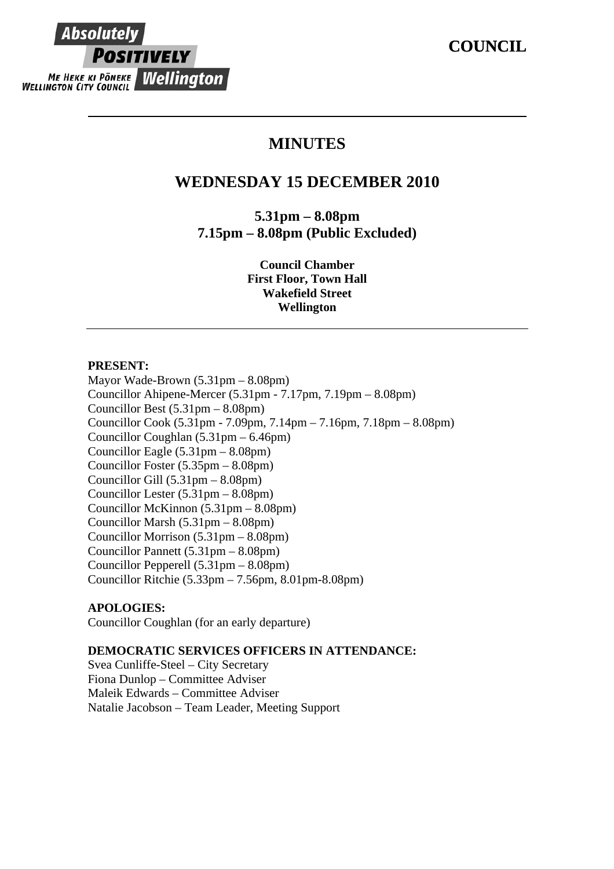# Absolutel **POSITIVELY ME HEKE KI PONEKE Wellington**

## **MINUTES**

## **WEDNESDAY 15 DECEMBER 2010**

**5.31pm – 8.08pm 7.15pm – 8.08pm (Public Excluded)** 

> **Council Chamber First Floor, Town Hall Wakefield Street Wellington**

#### **PRESENT:**

Mayor Wade-Brown (5.31pm – 8.08pm) Councillor Ahipene-Mercer (5.31pm - 7.17pm, 7.19pm – 8.08pm) Councillor Best (5.31pm – 8.08pm) Councillor Cook (5.31pm - 7.09pm, 7.14pm – 7.16pm, 7.18pm – 8.08pm) Councillor Coughlan (5.31pm – 6.46pm) Councillor Eagle (5.31pm – 8.08pm) Councillor Foster (5.35pm – 8.08pm) Councillor Gill (5.31pm – 8.08pm) Councillor Lester (5.31pm – 8.08pm) Councillor McKinnon (5.31pm – 8.08pm) Councillor Marsh (5.31pm – 8.08pm) Councillor Morrison (5.31pm – 8.08pm) Councillor Pannett (5.31pm – 8.08pm) Councillor Pepperell (5.31pm – 8.08pm) Councillor Ritchie (5.33pm – 7.56pm, 8.01pm-8.08pm)

### **APOLOGIES:**

Councillor Coughlan (for an early departure)

### **DEMOCRATIC SERVICES OFFICERS IN ATTENDANCE:**

Svea Cunliffe-Steel – City Secretary Fiona Dunlop – Committee Adviser Maleik Edwards – Committee Adviser Natalie Jacobson – Team Leader, Meeting Support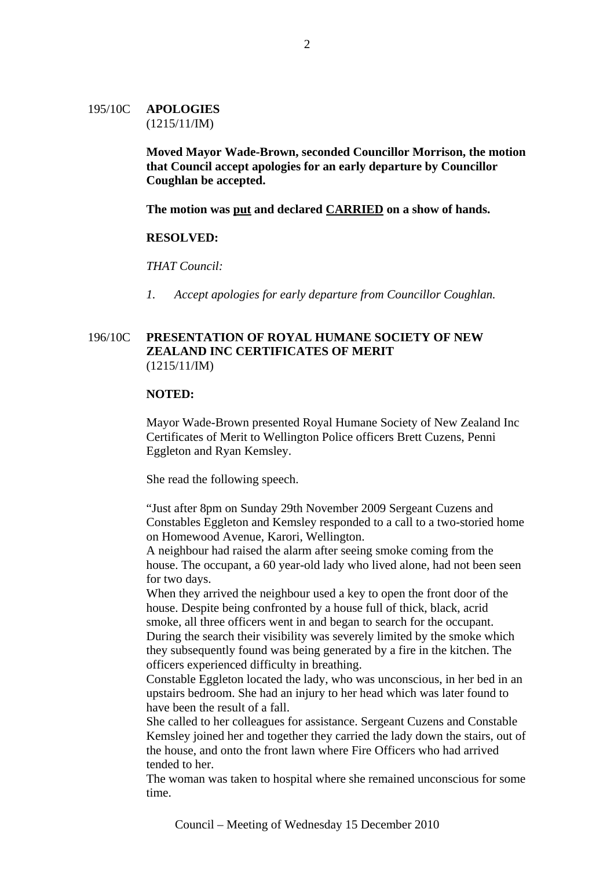195/10C **APOLOGIES** (1215/11/IM)

> **Moved Mayor Wade-Brown, seconded Councillor Morrison, the motion that Council accept apologies for an early departure by Councillor Coughlan be accepted.**

**The motion was put and declared CARRIED on a show of hands.**

#### **RESOLVED:**

*THAT Council:* 

*1. Accept apologies for early departure from Councillor Coughlan.* 

#### 196/10C **PRESENTATION OF ROYAL HUMANE SOCIETY OF NEW ZEALAND INC CERTIFICATES OF MERIT** (1215/11/IM)

#### **NOTED:**

Mayor Wade-Brown presented Royal Humane Society of New Zealand Inc Certificates of Merit to Wellington Police officers Brett Cuzens, Penni Eggleton and Ryan Kemsley.

She read the following speech.

"Just after 8pm on Sunday 29th November 2009 Sergeant Cuzens and Constables Eggleton and Kemsley responded to a call to a two-storied home on Homewood Avenue, Karori, Wellington.

A neighbour had raised the alarm after seeing smoke coming from the house. The occupant, a 60 year-old lady who lived alone, had not been seen for two days.

When they arrived the neighbour used a key to open the front door of the house. Despite being confronted by a house full of thick, black, acrid smoke, all three officers went in and began to search for the occupant. During the search their visibility was severely limited by the smoke which they subsequently found was being generated by a fire in the kitchen. The officers experienced difficulty in breathing.

Constable Eggleton located the lady, who was unconscious, in her bed in an upstairs bedroom. She had an injury to her head which was later found to have been the result of a fall.

She called to her colleagues for assistance. Sergeant Cuzens and Constable Kemsley joined her and together they carried the lady down the stairs, out of the house, and onto the front lawn where Fire Officers who had arrived tended to her.

The woman was taken to hospital where she remained unconscious for some time.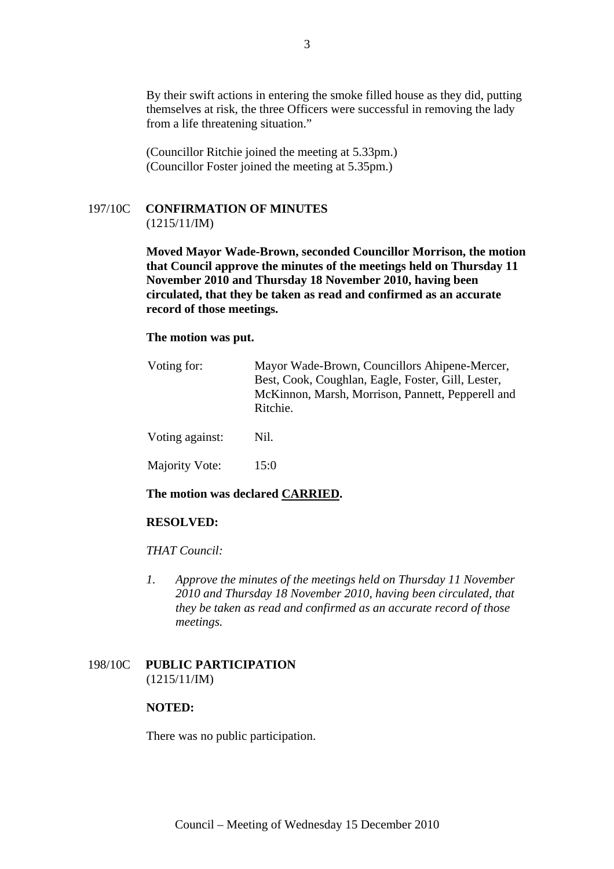By their swift actions in entering the smoke filled house as they did, putting themselves at risk, the three Officers were successful in removing the lady from a life threatening situation."

(Councillor Ritchie joined the meeting at 5.33pm.) (Councillor Foster joined the meeting at 5.35pm.)

## 197/10C **CONFIRMATION OF MINUTES**

(1215/11/IM)

**Moved Mayor Wade-Brown, seconded Councillor Morrison, the motion that Council approve the minutes of the meetings held on Thursday 11 November 2010 and Thursday 18 November 2010, having been circulated, that they be taken as read and confirmed as an accurate record of those meetings.** 

#### **The motion was put.**

| Voting for:     | Mayor Wade-Brown, Councillors Ahipene-Mercer,<br>Best, Cook, Coughlan, Eagle, Foster, Gill, Lester,<br>McKinnon, Marsh, Morrison, Pannett, Pepperell and<br>Ritchie. |
|-----------------|----------------------------------------------------------------------------------------------------------------------------------------------------------------------|
| Voting against: | Nil.                                                                                                                                                                 |
| Majority Vote:  | 15:0                                                                                                                                                                 |

#### **The motion was declared CARRIED.**

#### **RESOLVED:**

#### *THAT Council:*

*1. Approve the minutes of the meetings held on Thursday 11 November 2010 and Thursday 18 November 2010, having been circulated, that they be taken as read and confirmed as an accurate record of those meetings.* 

#### 198/10C **PUBLIC PARTICIPATION** (1215/11/IM)

#### **NOTED:**

There was no public participation.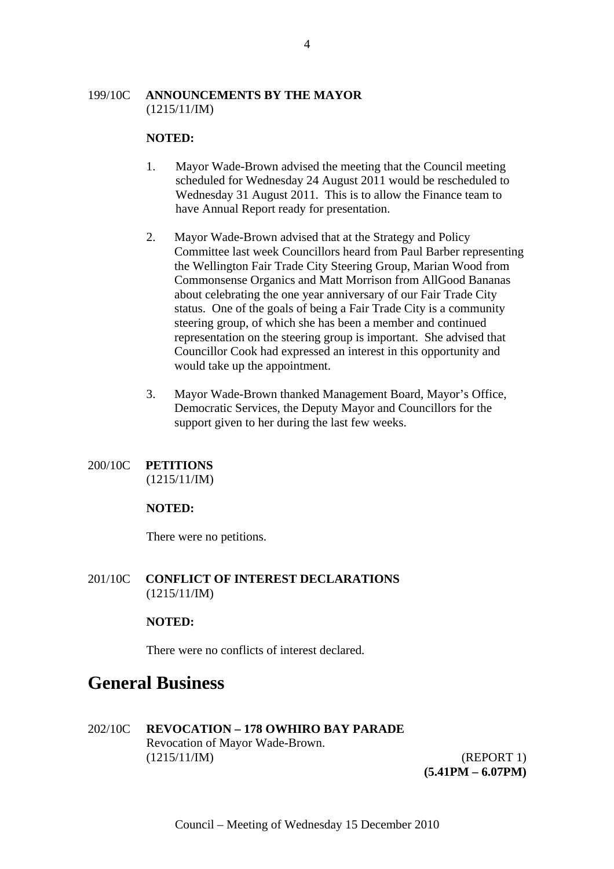#### 199/10C **ANNOUNCEMENTS BY THE MAYOR**  $(1215/11/IM)$

#### **NOTED:**

- 1. Mayor Wade-Brown advised the meeting that the Council meeting scheduled for Wednesday 24 August 2011 would be rescheduled to Wednesday 31 August 2011. This is to allow the Finance team to have Annual Report ready for presentation.
- 2. Mayor Wade-Brown advised that at the Strategy and Policy Committee last week Councillors heard from Paul Barber representing the Wellington Fair Trade City Steering Group, Marian Wood from Commonsense Organics and Matt Morrison from AllGood Bananas about celebrating the one year anniversary of our Fair Trade City status. One of the goals of being a Fair Trade City is a community steering group, of which she has been a member and continued representation on the steering group is important. She advised that Councillor Cook had expressed an interest in this opportunity and would take up the appointment.
- 3. Mayor Wade-Brown thanked Management Board, Mayor's Office, Democratic Services, the Deputy Mayor and Councillors for the support given to her during the last few weeks.

## 200/10C **PETITIONS**

(1215/11/IM)

#### **NOTED:**

There were no petitions.

201/10C **CONFLICT OF INTEREST DECLARATIONS** (1215/11/IM)

#### **NOTED:**

There were no conflicts of interest declared.

## **General Business**

202/10C **REVOCATION – 178 OWHIRO BAY PARADE** Revocation of Mayor Wade-Brown. (1215/11/IM) (REPORT 1)

 **(5.41PM – 6.07PM)**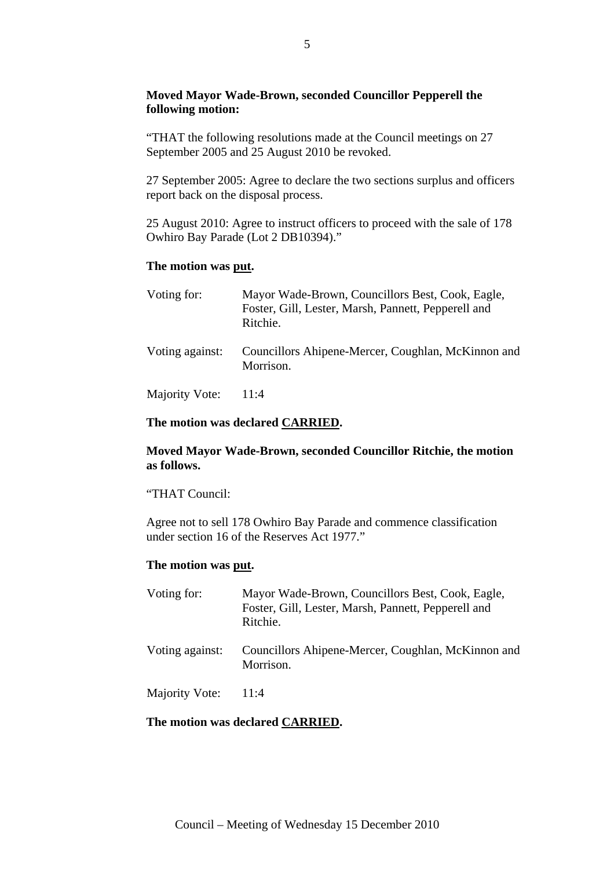#### **Moved Mayor Wade-Brown, seconded Councillor Pepperell the following motion:**

"THAT the following resolutions made at the Council meetings on 27 September 2005 and 25 August 2010 be revoked.

27 September 2005: Agree to declare the two sections surplus and officers report back on the disposal process.

25 August 2010: Agree to instruct officers to proceed with the sale of 178 Owhiro Bay Parade (Lot 2 DB10394)."

#### **The motion was put.**

| Voting for:     | Mayor Wade-Brown, Councillors Best, Cook, Eagle,<br>Foster, Gill, Lester, Marsh, Pannett, Pepperell and<br>Ritchie. |
|-----------------|---------------------------------------------------------------------------------------------------------------------|
| Voting against: | Councillors Ahipene-Mercer, Coughlan, McKinnon and<br>Morrison.                                                     |
| Majority Vote:  | 11:4                                                                                                                |

#### **The motion was declared CARRIED.**

#### **Moved Mayor Wade-Brown, seconded Councillor Ritchie, the motion as follows.**

#### "THAT Council:

Agree not to sell 178 Owhiro Bay Parade and commence classification under section 16 of the Reserves Act 1977."

#### **The motion was put.**

| Voting for:     | Mayor Wade-Brown, Councillors Best, Cook, Eagle,<br>Foster, Gill, Lester, Marsh, Pannett, Pepperell and<br>Ritchie. |
|-----------------|---------------------------------------------------------------------------------------------------------------------|
| Voting against: | Councillors Ahipene-Mercer, Coughlan, McKinnon and<br>Morrison.                                                     |
| Majority Vote:  | 11:4                                                                                                                |

#### **The motion was declared CARRIED.**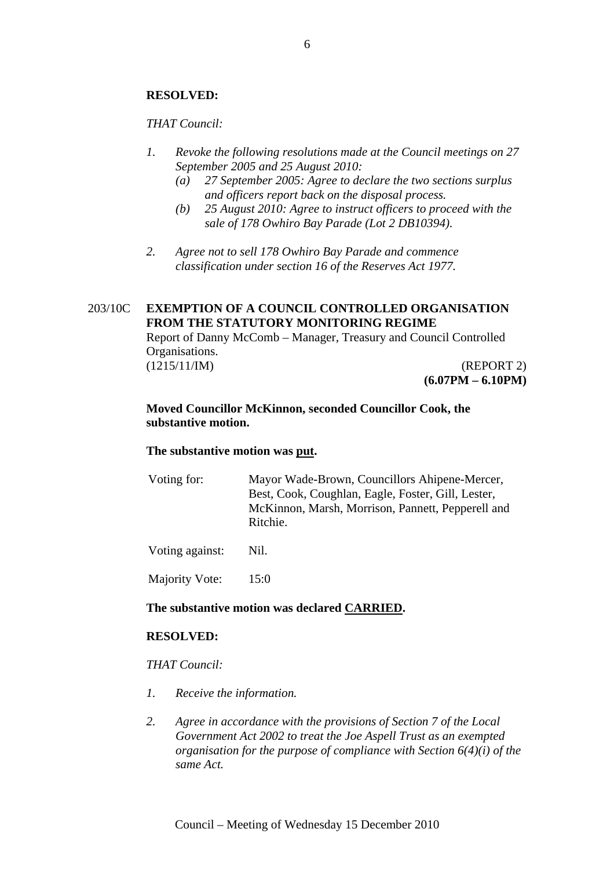#### **RESOLVED:**

#### *THAT Council:*

- *1. Revoke the following resolutions made at the Council meetings on 27 September 2005 and 25 August 2010:* 
	- *(a) 27 September 2005: Agree to declare the two sections surplus and officers report back on the disposal process.*
	- *(b) 25 August 2010: Agree to instruct officers to proceed with the sale of 178 Owhiro Bay Parade (Lot 2 DB10394).*
- *2. Agree not to sell 178 Owhiro Bay Parade and commence classification under section 16 of the Reserves Act 1977.*

#### 203/10C **EXEMPTION OF A COUNCIL CONTROLLED ORGANISATION FROM THE STATUTORY MONITORING REGIME**

Report of Danny McComb – Manager, Treasury and Council Controlled Organisations.

(1215/11/IM) (REPORT 2) **(6.07PM – 6.10PM)** 

#### **Moved Councillor McKinnon, seconded Councillor Cook, the substantive motion.**

#### **The substantive motion was put.**

Voting for: Mayor Wade-Brown, Councillors Ahipene-Mercer, Best, Cook, Coughlan, Eagle, Foster, Gill, Lester, McKinnon, Marsh, Morrison, Pannett, Pepperell and Ritchie.

Voting against: Nil.

Majority Vote: 15:0

#### **The substantive motion was declared CARRIED.**

#### **RESOLVED:**

#### *THAT Council:*

- *1. Receive the information.*
- *2. Agree in accordance with the provisions of Section 7 of the Local Government Act 2002 to treat the Joe Aspell Trust as an exempted organisation for the purpose of compliance with Section 6(4)(i) of the same Act.*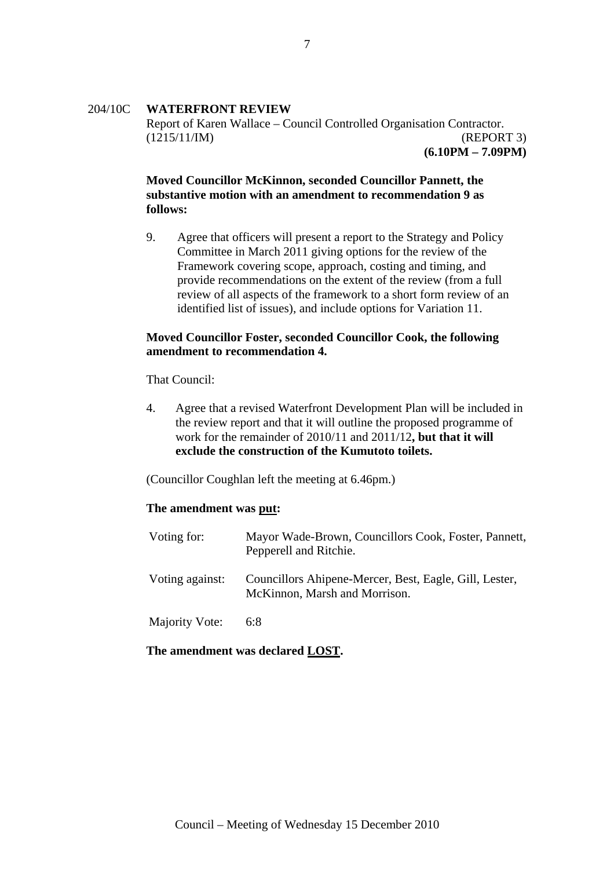#### 204/10C **WATERFRONT REVIEW**

Report of Karen Wallace – Council Controlled Organisation Contractor. (1215/11/IM) (REPORT 3) **(6.10PM – 7.09PM)**

#### **Moved Councillor McKinnon, seconded Councillor Pannett, the substantive motion with an amendment to recommendation 9 as follows:**

9. Agree that officers will present a report to the Strategy and Policy Committee in March 2011 giving options for the review of the Framework covering scope, approach, costing and timing, and provide recommendations on the extent of the review (from a full review of all aspects of the framework to a short form review of an identified list of issues), and include options for Variation 11.

#### **Moved Councillor Foster, seconded Councillor Cook, the following amendment to recommendation 4.**

That Council:

4. Agree that a revised Waterfront Development Plan will be included in the review report and that it will outline the proposed programme of work for the remainder of 2010/11 and 2011/12**, but that it will exclude the construction of the Kumutoto toilets.** 

(Councillor Coughlan left the meeting at 6.46pm.)

#### **The amendment was put:**

| Voting for:     | Mayor Wade-Brown, Councillors Cook, Foster, Pannett,<br>Pepperell and Ritchie.          |
|-----------------|-----------------------------------------------------------------------------------------|
| Voting against: | Councillors Ahipene-Mercer, Best, Eagle, Gill, Lester,<br>McKinnon, Marsh and Morrison. |
| Majority Vote:  | 6:8                                                                                     |

#### **The amendment was declared LOST.**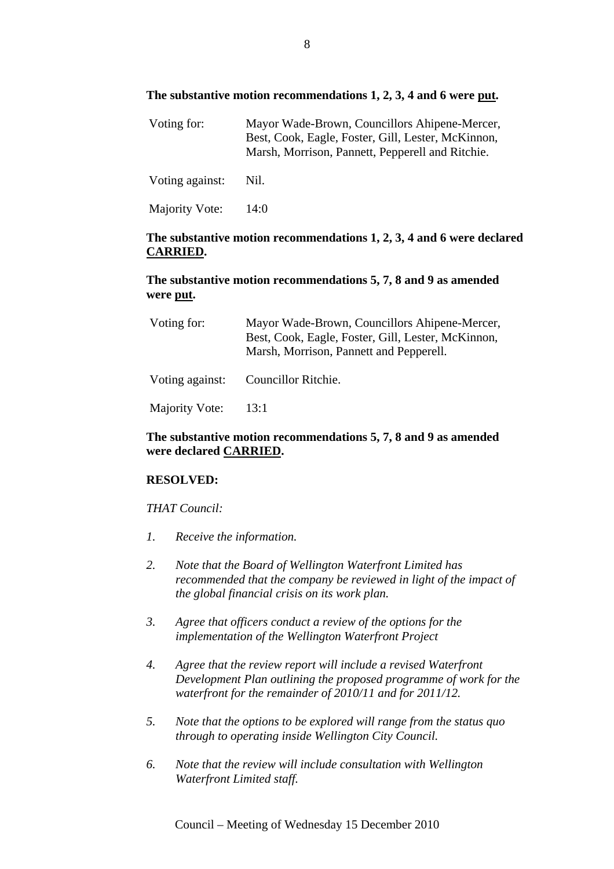#### **The substantive motion recommendations 1, 2, 3, 4 and 6 were put.**

| Voting for:     | Mayor Wade-Brown, Councillors Ahipene-Mercer,<br>Best, Cook, Eagle, Foster, Gill, Lester, McKinnon,<br>Marsh, Morrison, Pannett, Pepperell and Ritchie. |
|-----------------|---------------------------------------------------------------------------------------------------------------------------------------------------------|
| Voting against: | Nil.                                                                                                                                                    |

Majority Vote: 14:0

#### **The substantive motion recommendations 1, 2, 3, 4 and 6 were declared CARRIED.**

#### **The substantive motion recommendations 5, 7, 8 and 9 as amended were put.**

| Voting for:     | Mayor Wade-Brown, Councillors Ahipene-Mercer,<br>Best, Cook, Eagle, Foster, Gill, Lester, McKinnon,<br>Marsh, Morrison, Pannett and Pepperell. |
|-----------------|------------------------------------------------------------------------------------------------------------------------------------------------|
| Voting against: | Councillor Ritchie.                                                                                                                            |

Majority Vote: 13:1

#### **The substantive motion recommendations 5, 7, 8 and 9 as amended were declared CARRIED.**

#### **RESOLVED:**

#### *THAT Council:*

- *1. Receive the information.*
- *2. Note that the Board of Wellington Waterfront Limited has recommended that the company be reviewed in light of the impact of the global financial crisis on its work plan.*
- *3. Agree that officers conduct a review of the options for the implementation of the Wellington Waterfront Project*
- *4. Agree that the review report will include a revised Waterfront Development Plan outlining the proposed programme of work for the waterfront for the remainder of 2010/11 and for 2011/12.*
- *5. Note that the options to be explored will range from the status quo through to operating inside Wellington City Council.*
- *6. Note that the review will include consultation with Wellington Waterfront Limited staff.*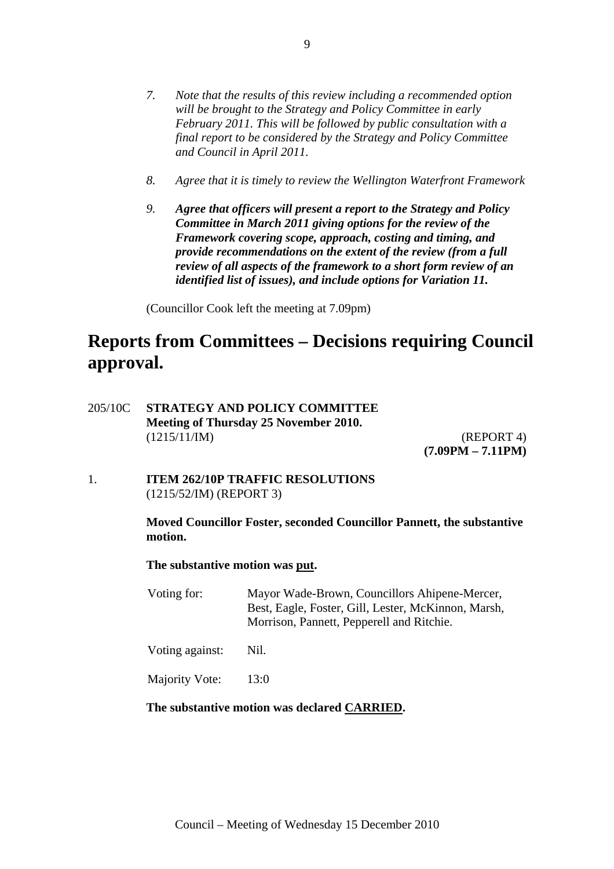- *7. Note that the results of this review including a recommended option will be brought to the Strategy and Policy Committee in early February 2011. This will be followed by public consultation with a final report to be considered by the Strategy and Policy Committee and Council in April 2011.*
- *8. Agree that it is timely to review the Wellington Waterfront Framework*
- *9. Agree that officers will present a report to the Strategy and Policy Committee in March 2011 giving options for the review of the Framework covering scope, approach, costing and timing, and provide recommendations on the extent of the review (from a full review of all aspects of the framework to a short form review of an identified list of issues), and include options for Variation 11.*

(Councillor Cook left the meeting at 7.09pm)

## **Reports from Committees – Decisions requiring Council approval.**

205/10C **STRATEGY AND POLICY COMMITTEE Meeting of Thursday 25 November 2010.**  (1215/11/IM) (REPORT 4)

 **(7.09PM – 7.11PM)**

1. **ITEM 262/10P TRAFFIC RESOLUTIONS** (1215/52/IM) (REPORT 3)

#### **Moved Councillor Foster, seconded Councillor Pannett, the substantive motion.**

**The substantive motion was put.** 

Voting for: Mayor Wade-Brown, Councillors Ahipene-Mercer, Best, Eagle, Foster, Gill, Lester, McKinnon, Marsh, Morrison, Pannett, Pepperell and Ritchie.

Voting against: Nil.

Majority Vote: 13:0

#### **The substantive motion was declared CARRIED.**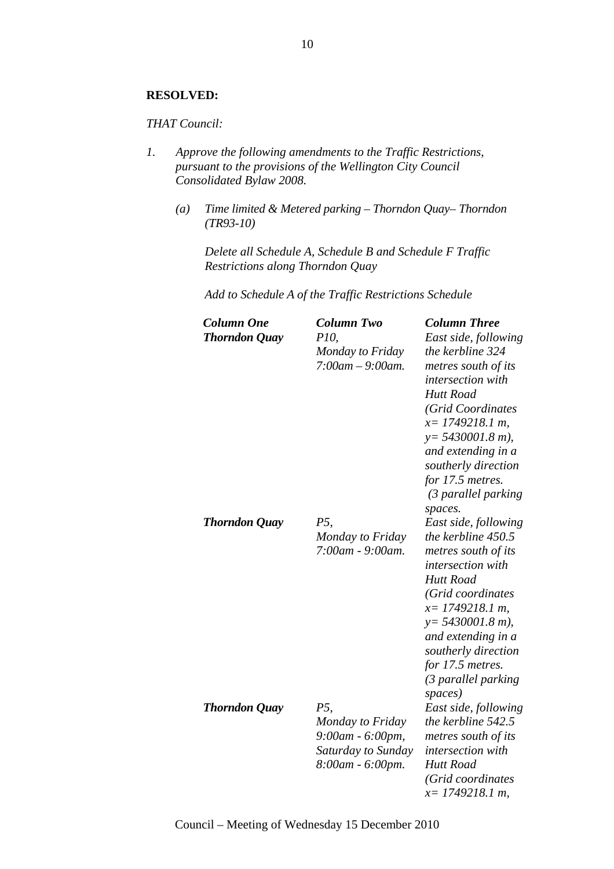#### **RESOLVED:**

#### *THAT Council:*

- *1. Approve the following amendments to the Traffic Restrictions, pursuant to the provisions of the Wellington City Council Consolidated Bylaw 2008.* 
	- *(a) Time limited & Metered parking Thorndon Quay– Thorndon (TR93-10)*

*Delete all Schedule A, Schedule B and Schedule F Traffic Restrictions along Thorndon Quay* 

*Add to Schedule A of the Traffic Restrictions Schedule* 

| <b>Column One</b><br><b>Thorndon Quay</b> | <b>Column Two</b><br><i>P10</i> ,<br>Monday to Friday<br>$7:00$ am $-9:00$ am.                | <b>Column Three</b><br>East side, following<br>the kerbline 324<br>metres south of its<br>intersection with<br><b>Hutt Road</b><br>(Grid Coordinates<br>$x=$ 1749218.1 m,<br>$y = 5430001.8 m$ ),<br>and extending in a<br>southerly direction<br>for 17.5 metres.<br>(3 parallel parking |
|-------------------------------------------|-----------------------------------------------------------------------------------------------|-------------------------------------------------------------------------------------------------------------------------------------------------------------------------------------------------------------------------------------------------------------------------------------------|
| <b>Thorndon Quay</b>                      | P5,<br>Monday to Friday<br>7:00am - 9:00am.                                                   | spaces.<br>East side, following<br>the kerbline 450.5<br>metres south of its<br>intersection with<br><b>Hutt Road</b><br>(Grid coordinates<br>$x=$ 1749218.1 m,<br>$y = 5430001.8$ m),<br>and extending in a<br>southerly direction<br>for 17.5 metres.<br>(3 parallel parking<br>spaces) |
| <b>Thorndon Quay</b>                      | <i>P5</i> ,<br>Monday to Friday<br>9:00am - 6:00pm,<br>Saturday to Sunday<br>8:00am - 6:00pm. | East side, following<br>the kerbline 542.5<br>metres south of its<br>intersection with<br><b>Hutt Road</b><br>(Grid coordinates<br>$x=$ 1749218.1 m,                                                                                                                                      |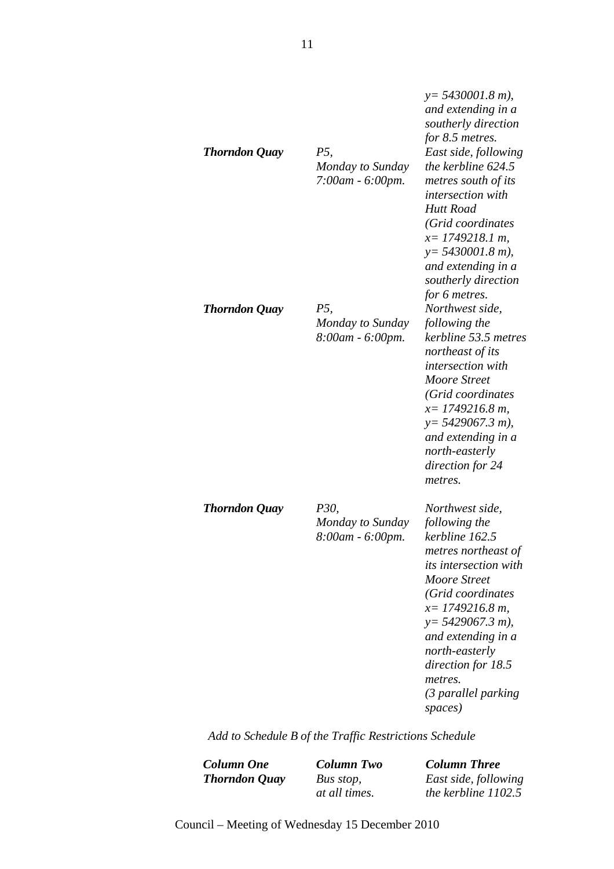| <b>Thorndon Quay</b> | P5,<br>Monday to Sunday<br>7:00am - 6:00pm.         | $y = 5430001.8$ m),<br>and extending in a<br>southerly direction<br>for 8.5 metres.<br>East side, following<br>the kerbline 624.5<br>metres south of its<br><i>intersection with</i><br><b>Hutt Road</b><br>(Grid coordinates<br>$x=$ 1749218.1 m,<br>$y = 5430001.8$ m),<br>and extending in a<br>southerly direction |
|----------------------|-----------------------------------------------------|------------------------------------------------------------------------------------------------------------------------------------------------------------------------------------------------------------------------------------------------------------------------------------------------------------------------|
| <b>Thorndon Quay</b> | P5,<br>Monday to Sunday<br>8:00am - 6:00pm.         | for 6 metres.<br>Northwest side,<br>following the<br>kerbline 53.5 metres<br>northeast of its<br>intersection with<br><b>Moore Street</b><br>(Grid coordinates<br>$x=1749216.8 m$ ,<br>$y = 5429067.3 m$ ),<br>and extending in a<br>north-easterly<br>direction for 24<br>metres.                                     |
| <b>Thorndon Quay</b> | <i>P30,</i><br>Monday to Sunday<br>8:00am - 6:00pm. | Northwest side,<br>following the<br>kerbline 162.5<br>metres northeast of<br><i>its intersection with</i><br>Moore Street<br>(Grid coordinates<br>$x=1749216.8 m$ ,<br>$y = 5429067.3 m$ ),<br>and extending in a<br>north-easterly<br>direction for 18.5<br>metres.<br>(3 parallel parking<br>spaces)                 |

*Add to Schedule B of the Traffic Restrictions Schedule*

*Column One Column Two Column Three Thorndon Quay Bus stop,* 

*at all times.*

*East side, following the kerbline 1102.5*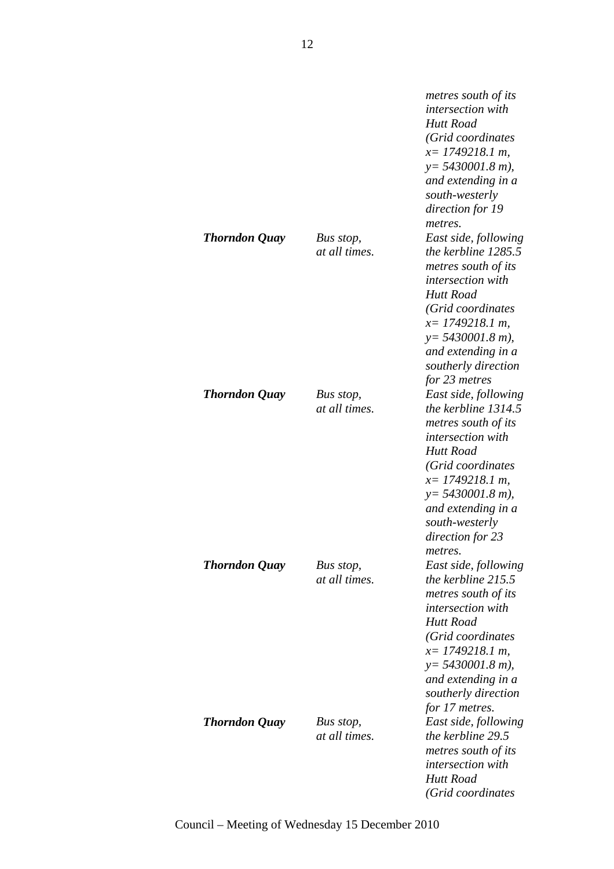|               |                            | metres south of its<br><i>intersection with</i>                                                                                                                                                                                                      |
|---------------|----------------------------|------------------------------------------------------------------------------------------------------------------------------------------------------------------------------------------------------------------------------------------------------|
|               |                            | <b>Hutt Road</b><br>(Grid coordinates<br>$x=$ 1749218.1 m,<br>$y = 5430001.8$ m),<br>and extending in a<br>south-westerly                                                                                                                            |
| Thorndon Quay | Bus stop,<br>at all times. | direction for 19<br>metres.<br>East side, following<br>the kerbline 1285.5<br>metres south of its<br><i>intersection with</i><br><b>Hutt Road</b><br>(Grid coordinates<br>$x=$ 1749218.1 m,<br>$y = 5430001.8$ m),<br>and extending in a             |
| Thorndon Quay | Bus stop,<br>at all times. | southerly direction<br>for 23 metres<br>East side, following<br>the kerbline 1314.5<br>metres south of its<br><i>intersection with</i><br>Hutt Road<br>(Grid coordinates                                                                             |
| Thorndon Quay | Bus stop,<br>at all times. | $x=$ 1749218.1 m,<br>$y = 5430001.8$ m),<br>and extending in a<br>south-westerly<br>direction for 23<br>metres.<br>East side, following<br>the kerbline $215.5$<br>metres south of its<br><i>intersection with</i><br>Hutt Road<br>(Grid coordinates |
| Thorndon Quay | Bus stop,<br>at all times. | $x=$ 1749218.1 m,<br>$y = 5430001.8$ m),<br>and extending in a<br>southerly direction<br>for 17 metres.<br>East side, following<br>the kerbline 29.5<br>metres south of its<br><i>intersection with</i><br>Hutt Road<br>(Grid coordinates            |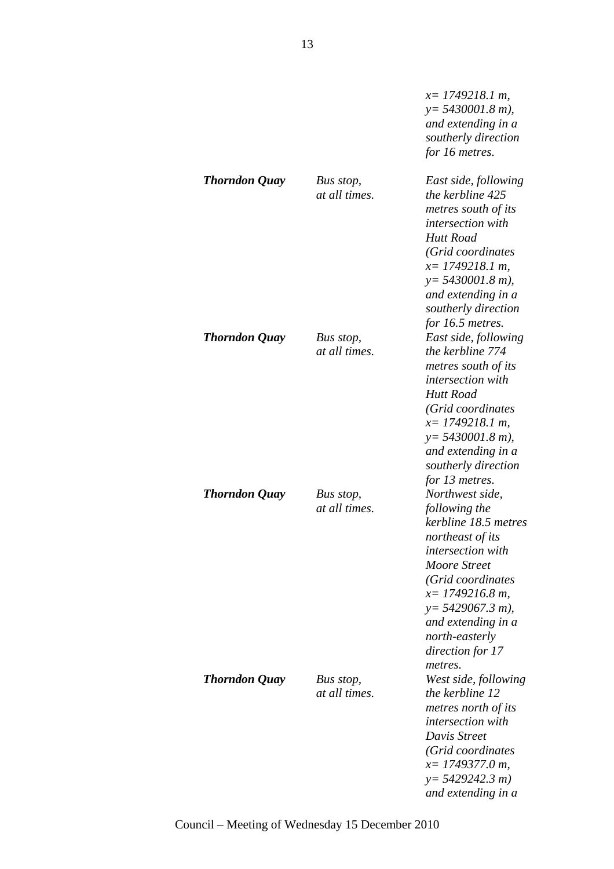|                      |                            | $x=$ 1749218.1 m,<br>$y = 5430001.8$ m),<br>and extending in a<br>southerly direction<br>for 16 metres.                                                                                                                                                    |
|----------------------|----------------------------|------------------------------------------------------------------------------------------------------------------------------------------------------------------------------------------------------------------------------------------------------------|
| <b>Thorndon Quay</b> | Bus stop,<br>at all times. | East side, following<br>the kerbline 425<br>metres south of its<br><i>intersection with</i><br>Hutt Road<br>(Grid coordinates<br>$x=$ 1749218.1 m,<br>$y = 5430001.8$ m),<br>and extending in a<br>southerly direction<br>for 16.5 metres.                 |
| <b>Thorndon Quay</b> | Bus stop,<br>at all times. | East side, following<br>the kerbline 774<br>metres south of its<br><i>intersection with</i><br><b>Hutt Road</b><br>(Grid coordinates<br>$x=$ 1749218.1 m,<br>$y = 5430001.8$ m),<br>and extending in a<br>southerly direction<br>for 13 metres.            |
| <b>Thorndon Quay</b> | Bus stop,<br>at all times. | Northwest side,<br>following the<br>kerbline 18.5 metres<br>northeast of its<br>intersection with<br>Moore Street<br>(Grid coordinates<br>$x=1749216.8 m$ ,<br>$y = 5429067.3 m$ ),<br>and extending in a<br>north-easterly<br>direction for 17<br>metres. |
| <b>Thorndon Quay</b> | Bus stop,<br>at all times. | West side, following<br>the kerbline 12<br>metres north of its<br><i>intersection with</i><br>Davis Street<br>(Grid coordinates<br>$x=$ 1749377.0 m,<br>$y = 5429242.3 m$<br>and extending in a                                                            |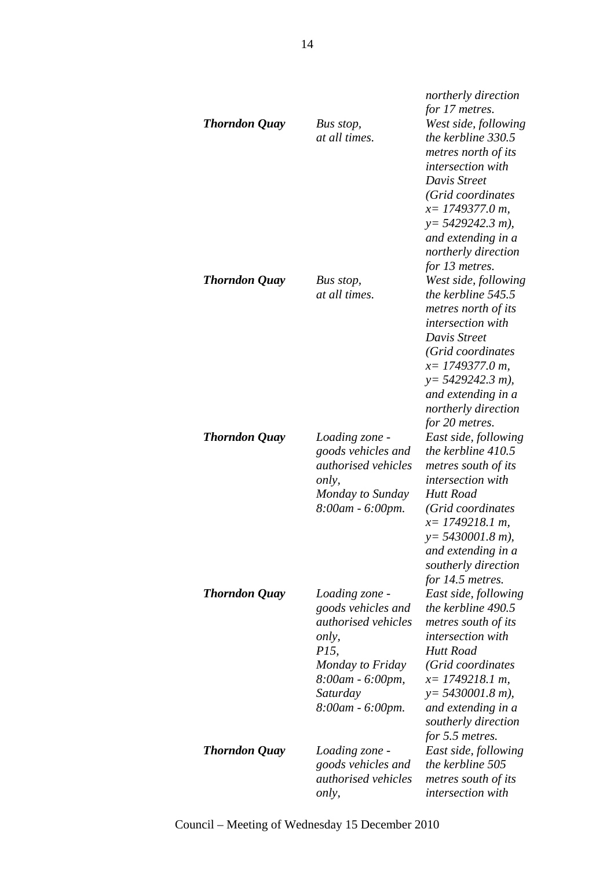|                      |                            | northerly direction      |
|----------------------|----------------------------|--------------------------|
|                      |                            | for 17 metres.           |
| <b>Thorndon Quay</b> | Bus stop,                  | West side, following     |
|                      | at all times.              | the kerbline 330.5       |
|                      |                            | metres north of its      |
|                      |                            | <i>intersection with</i> |
|                      |                            | Davis Street             |
|                      |                            | (Grid coordinates        |
|                      |                            | $x=$ 1749377.0 m,        |
|                      |                            | $y=$ 5429242.3 m),       |
|                      |                            |                          |
|                      |                            | and extending in a       |
|                      |                            | northerly direction      |
|                      |                            | for 13 metres.           |
| <b>Thorndon Quay</b> | Bus stop,                  | West side, following     |
|                      | at all times.              | the kerbline 545.5       |
|                      |                            | metres north of its      |
|                      |                            | <i>intersection with</i> |
|                      |                            | Davis Street             |
|                      |                            | (Grid coordinates        |
|                      |                            | $x=$ 1749377.0 m,        |
|                      |                            | $y=$ 5429242.3 m),       |
|                      |                            | and extending in a       |
|                      |                            | northerly direction      |
|                      |                            | for 20 metres.           |
| <b>Thorndon Quay</b> | Loading zone -             | East side, following     |
|                      | goods vehicles and         | the kerbline 410.5       |
|                      | <i>authorised</i> vehicles | metres south of its      |
|                      | only,                      | <i>intersection with</i> |
|                      | Monday to Sunday           | Hutt Road                |
|                      | 8:00am - 6:00pm.           | (Grid coordinates        |
|                      |                            | $x=$ 1749218.1 m,        |
|                      |                            | $y = 5430001.8$ m),      |
|                      |                            | and extending in a       |
|                      |                            | southerly direction      |
|                      |                            | for 14.5 metres.         |
| <b>Thorndon Quay</b> | Loading zone -             | East side, following     |
|                      | goods vehicles and         | the kerbline 490.5       |
|                      | <i>authorised vehicles</i> | metres south of its      |
|                      |                            | intersection with        |
|                      | only,<br>P15,              |                          |
|                      |                            | Hutt Road                |
|                      | Monday to Friday           | (Grid coordinates        |
|                      | 8:00am - 6:00pm,           | $x=$ 1749218.1 m,        |
|                      | Saturday                   | $y = 5430001.8$ m),      |
|                      | 8:00am - 6:00pm.           | and extending in a       |
|                      |                            | southerly direction      |
|                      |                            | for 5.5 metres.          |
| <b>Thorndon Quay</b> | Loading zone -             | East side, following     |
|                      | goods vehicles and         | the kerbline 505         |
|                      | <i>authorised vehicles</i> | metres south of its      |
|                      | only,                      | intersection with        |
|                      |                            |                          |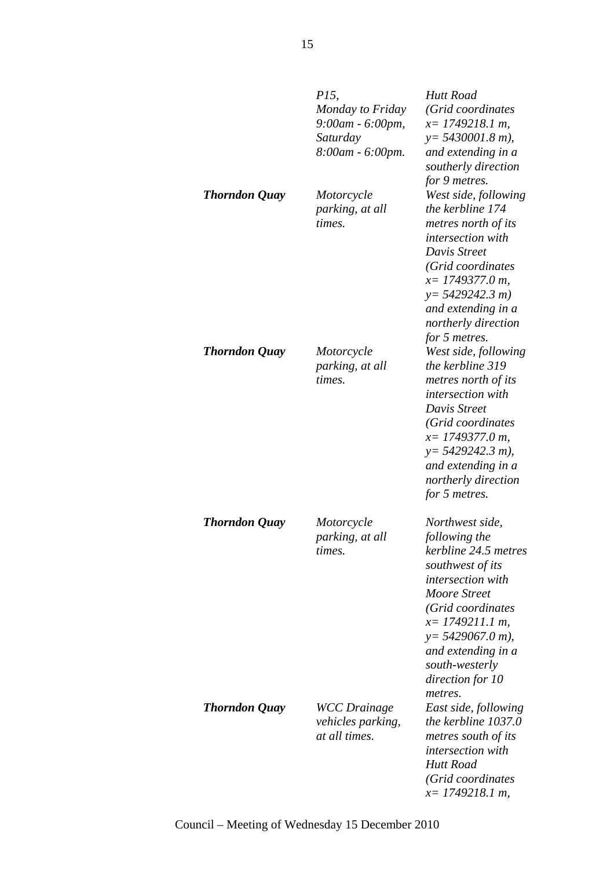|                      | <i>P15</i> ,<br>Monday to Friday<br>9:00am - 6:00pm,<br>Saturday<br>8:00am - 6:00pm. | Hutt Road<br>(Grid coordinates<br>$x=$ 1749218.1 m,<br>$y = 5430001.8$ m),<br>and extending in a<br>southerly direction                                                                                                                                   |
|----------------------|--------------------------------------------------------------------------------------|-----------------------------------------------------------------------------------------------------------------------------------------------------------------------------------------------------------------------------------------------------------|
| <b>Thorndon Quay</b> | Motorcycle<br>parking, at all<br>times.                                              | for 9 metres.<br>West side, following<br>the kerbline 174<br>metres north of its<br><i>intersection with</i><br>Davis Street<br>(Grid coordinates<br>$x=$ 1749377.0 m,<br>$y=5429242.3 m$<br>and extending in a<br>northerly direction<br>for 5 metres.   |
| <b>Thorndon Quay</b> | Motorcycle<br>parking, at all<br>times.                                              | West side, following<br>the kerbline 319<br>metres north of its<br>intersection with<br>Davis Street<br>(Grid coordinates<br>$x=$ 1749377.0 m,<br>$y=$ 5429242.3 m),<br>and extending in a<br>northerly direction<br>for 5 metres.                        |
| <b>Thorndon Quay</b> | Motorcycle<br>parking, at all<br>times.                                              | Northwest side,<br>following the<br>kerbline 24.5 metres<br>southwest of its<br>intersection with<br>Moore Street<br>(Grid coordinates<br>$x=$ 1749211.1 m,<br>$y = 5429067.0 m$ ,<br>and extending in a<br>south-westerly<br>direction for 10<br>metres. |
| <b>Thorndon Quay</b> | <b>WCC</b> Drainage<br><i>vehicles parking,</i><br>at all times.                     | East side, following<br>the kerbline 1037.0<br>metres south of its<br>intersection with<br><b>Hutt Road</b><br>(Grid coordinates<br>$x=$ 1749218.1 m,                                                                                                     |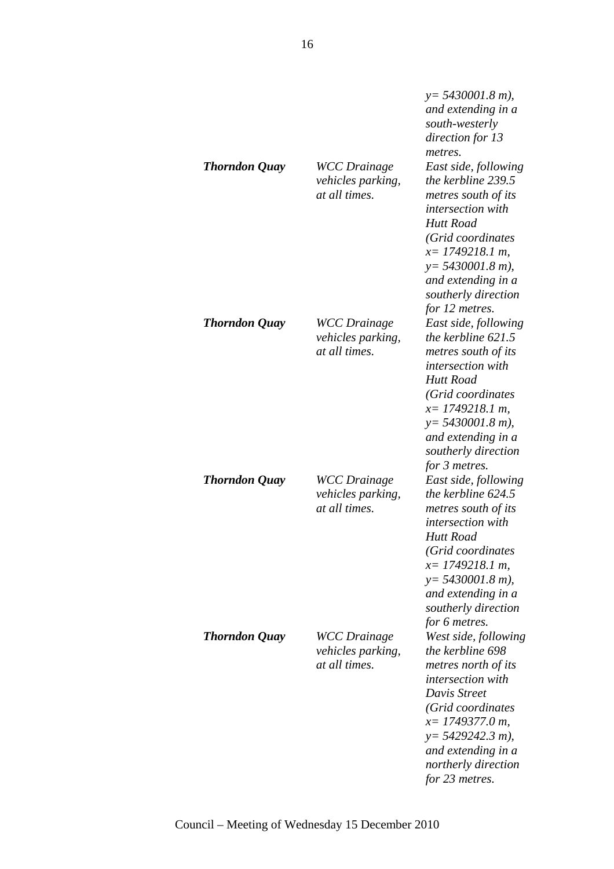|                      |                                                                  | $y = 5430001.8$ m),<br>and extending in a<br>south-westerly<br>direction for 13<br>metres.                                                                                                                                                        |
|----------------------|------------------------------------------------------------------|---------------------------------------------------------------------------------------------------------------------------------------------------------------------------------------------------------------------------------------------------|
| <b>Thorndon Quay</b> | <b>WCC</b> Drainage<br>vehicles parking,<br>at all times.        | East side, following<br>the kerbline 239.5<br>metres south of its<br><i>intersection with</i><br><b>Hutt Road</b><br>(Grid coordinates<br>$x=$ 1749218.1 m,<br>$y = 5430001.8$ m),<br>and extending in a<br>southerly direction<br>for 12 metres. |
| <b>Thorndon Quay</b> | <b>WCC</b> Drainage<br>vehicles parking,<br>at all times.        | East side, following<br>the kerbline $621.5$<br>metres south of its<br><i>intersection with</i><br>Hutt Road<br>(Grid coordinates<br>$x=$ 1749218.1 m,<br>$y = 5430001.8$ m),<br>and extending in a<br>southerly direction<br>for 3 metres.       |
| <b>Thorndon Quay</b> | <b>WCC</b> Drainage<br><i>vehicles parking,</i><br>at all times. | East side, following<br>the kerbline 624.5<br>metres south of its<br><i>intersection with</i><br><b>Hutt Road</b><br>(Grid coordinates<br>$x=$ 1749218.1 m,<br>$y = 5430001.8$ m),<br>and extending in a<br>southerly direction<br>for 6 metres.  |
| <b>Thorndon Quay</b> | <b>WCC</b> Drainage<br><i>vehicles parking,</i><br>at all times. | West side, following<br>the kerbline 698<br>metres north of its<br><i>intersection with</i><br>Davis Street<br>(Grid coordinates<br>$x=$ 1749377.0 m,<br>$y=$ 5429242.3 m),<br>and extending in a<br>northerly direction<br>for 23 metres.        |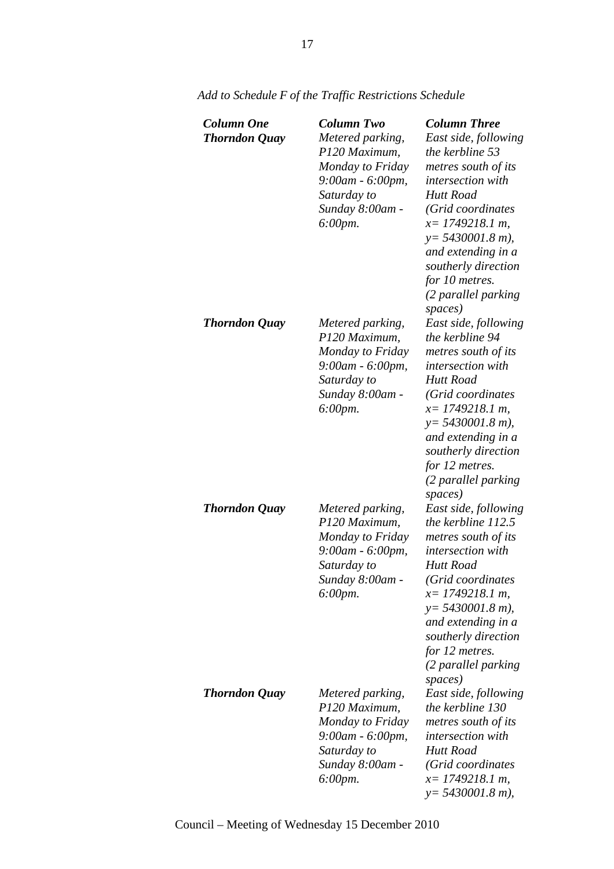| <b>Column One</b><br><b>Thorndon Quay</b> | <b>Column Two</b><br>Metered parking,<br>P120 Maximum,<br>Monday to Friday<br>9:00am - 6:00pm,<br>Saturday to<br>Sunday 8:00am -<br>6:00pm. | <b>Column Three</b><br>East side, following<br>the kerbline 53<br>metres south of its<br>intersection with<br><b>Hutt Road</b><br>(Grid coordinates<br>$x=1749218.1 m$ ,<br>$y = 5430001.8$ m),<br>and extending in a<br>southerly direction<br>for 10 metres.<br>(2 parallel parking |
|-------------------------------------------|---------------------------------------------------------------------------------------------------------------------------------------------|---------------------------------------------------------------------------------------------------------------------------------------------------------------------------------------------------------------------------------------------------------------------------------------|
| <b>Thorndon Quay</b>                      | Metered parking,<br>P120 Maximum,<br>Monday to Friday<br>9:00am - 6:00pm,<br>Saturday to<br>Sunday 8:00am -<br>6:00pm.                      | spaces)<br>East side, following<br>the kerbline 94<br>metres south of its<br>intersection with<br><b>Hutt Road</b><br>(Grid coordinates<br>$x=$ 1749218.1 m,<br>$y = 5430001.8$ m),<br>and extending in a<br>southerly direction<br>for 12 metres.<br>(2 parallel parking<br>spaces)  |
| <b>Thorndon Quay</b>                      | Metered parking,<br>P120 Maximum,<br>Monday to Friday<br>9:00am - 6:00pm,<br>Saturday to<br>Sunday 8:00am -<br>$6:00 \, \text{pm}.$         | East side, following<br>the kerbline 112.5<br>metres south of its<br>intersection with<br><b>Hutt Road</b><br>(Grid coordinates<br>$x=$ 1749218.1 m,<br>$y = 5430001.8$ m),<br>and extending in a<br>southerly direction<br>for 12 metres.<br>(2 parallel parking<br>spaces)          |
| <b>Thorndon Quay</b>                      | Metered parking,<br>P120 Maximum,<br>Monday to Friday<br>9:00am - 6:00pm,<br>Saturday to<br>Sunday 8:00am -<br>6:00pm.                      | East side, following<br>the kerbline 130<br>metres south of its<br><i>intersection with</i><br>Hutt Road<br>(Grid coordinates<br>$x=$ 1749218.1 m,<br>$y = 5430001.8$ m),                                                                                                             |

*Add to Schedule F of the Traffic Restrictions Schedule*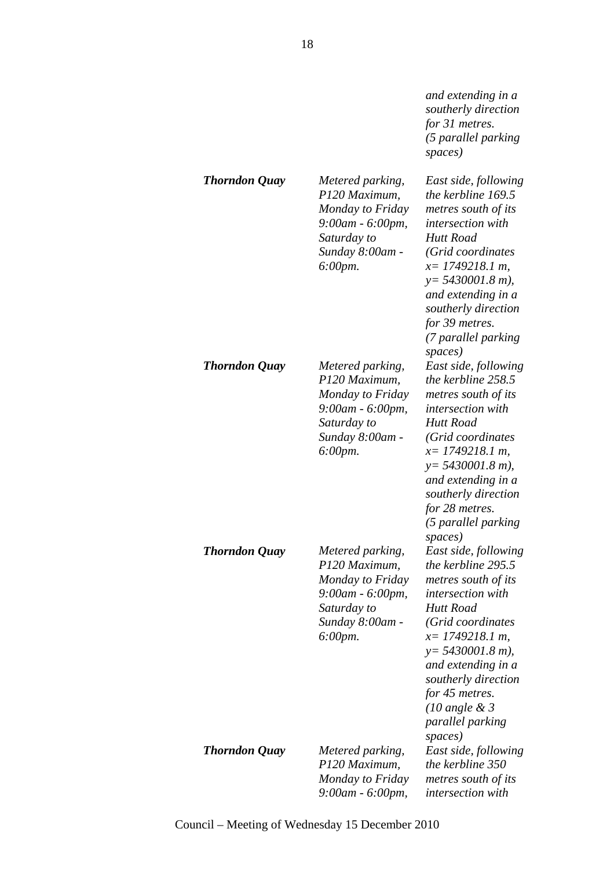*and extending in a southerly direction for 31 metres. (5 parallel parking spaces)*

| Thorndon Quay        | Metered parking,<br>P120 Maximum,<br>Monday to Friday<br>9:00am - 6:00pm,<br>Saturday to<br>Sunday 8:00am -                         | East side, following<br>the kerbline 169.5<br>metres south of its<br>intersection with<br><b>Hutt Road</b><br>(Grid coordinates                                                                                                                                                                                    |
|----------------------|-------------------------------------------------------------------------------------------------------------------------------------|--------------------------------------------------------------------------------------------------------------------------------------------------------------------------------------------------------------------------------------------------------------------------------------------------------------------|
|                      | $6:00 \, \text{pm}.$                                                                                                                | $x=$ 1749218.1 m,<br>$y = 5430001.8$ m),<br>and extending in a<br>southerly direction<br>for 39 metres.<br>(7 parallel parking<br>spaces)                                                                                                                                                                          |
| Thorndon Quay        | Metered parking,<br>P120 Maximum,<br>Monday to Friday<br>9:00am - 6:00pm,<br>Saturday to<br>Sunday 8:00am -<br>$6:00$ pm.           | East side, following<br>the kerbline 258.5<br>metres south of its<br><i>intersection with</i><br>Hutt Road<br>(Grid coordinates<br>$x=$ 1749218.1 m,<br>$y=$ 5430001.8 m),<br>and extending in a<br>southerly direction<br>for 28 metres.<br>(5 parallel parking                                                   |
| <b>Thorndon Quay</b> | Metered parking,<br>P120 Maximum,<br>Monday to Friday<br>9:00am - 6:00pm,<br>Saturday to<br>Sunday 8:00am -<br>$6:00 \, \text{pm}.$ | spaces)<br>East side, following<br>the kerbline 295.5<br>metres south of its<br><i>intersection with</i><br>Hutt Road<br>(Grid coordinates<br>$x=$ 1749218.1 m,<br>$y = 5430001.8 m$ ,<br>and extending in a<br>southerly direction<br>for 45 metres.<br>$(10 \text{ angle } \& 3)$<br>parallel parking<br>spaces) |
| Thorndon Quay        | Metered parking,<br>P120 Maximum,<br>Monday to Friday<br>9:00am - 6:00pm,                                                           | East side, following<br>the kerbline 350<br>metres south of its<br><i>intersection</i> with                                                                                                                                                                                                                        |

Council – Meeting of Wednesday 15 December 2010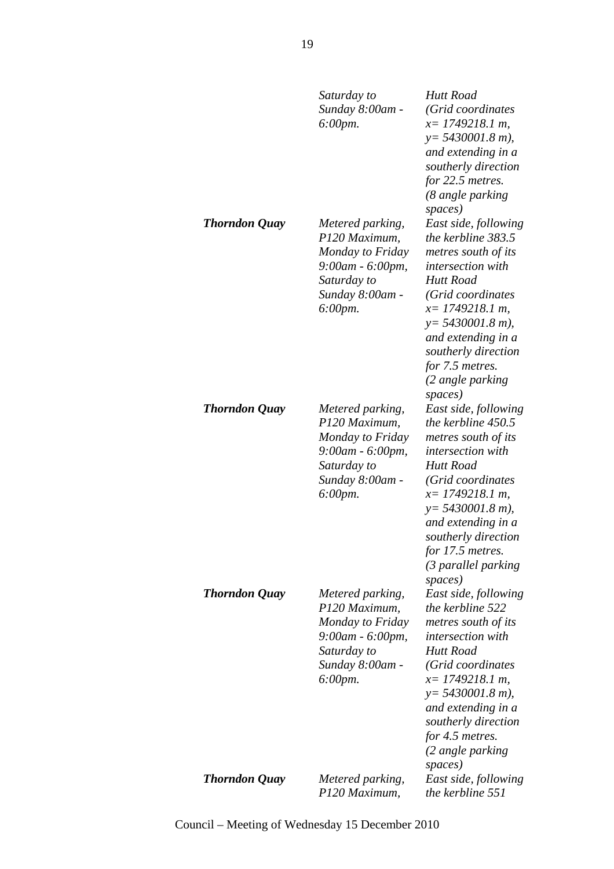|                      | Saturday to<br>Sunday 8:00am -<br>$6:00 \, \text{pm}.$                                                                              | Hutt Road<br>(Grid coordinates<br>$x=$ 1749218.1 m,<br>$y = 5430001.8$ m),<br>and extending in a<br>southerly direction<br>for 22.5 metres.<br>(8 angle parking<br>spaces)                                                                                                      |
|----------------------|-------------------------------------------------------------------------------------------------------------------------------------|---------------------------------------------------------------------------------------------------------------------------------------------------------------------------------------------------------------------------------------------------------------------------------|
| <b>Thorndon Quay</b> | Metered parking,<br>P120 Maximum,<br>Monday to Friday<br>9:00am - 6:00pm,<br>Saturday to<br>Sunday 8:00am -<br>$6:00 \, \text{pm}.$ | East side, following<br>the kerbline 383.5<br>metres south of its<br><i>intersection with</i><br>Hutt Road<br>(Grid coordinates<br>$x=$ 1749218.1 m,<br>$y = 5430001.8$ m),<br>and extending in a<br>southerly direction<br>for 7.5 metres.<br>(2 angle parking<br>spaces)      |
| <b>Thorndon Quay</b> | Metered parking,<br>P120 Maximum,<br>Monday to Friday<br>9:00am - 6:00pm,<br>Saturday to<br>Sunday 8:00am -<br>6:00pm.              | East side, following<br>the kerbline 450.5<br>metres south of its<br><i>intersection with</i><br>Hutt Road<br>(Grid coordinates<br>$x=$ 1749218.1 m,<br>$y = 5430001.8$ m),<br>and extending in a<br>southerly direction<br>for 17.5 metres.<br>(3 parallel parking<br>spaces)  |
| <b>Thorndon Quay</b> | Metered parking,<br>P120 Maximum,<br>Monday to Friday<br>9:00am - 6:00pm,<br>Saturday to<br>Sunday 8:00am -<br>$6:00 \, \text{pm}.$ | East side, following<br>the kerbline 522<br>metres south of its<br><i>intersection with</i><br><b>Hutt Road</b><br>(Grid coordinates<br>$x=$ 1749218.1 m,<br>$y = 5430001.8$ m),<br>and extending in a<br>southerly direction<br>for 4.5 metres.<br>(2 angle parking<br>spaces) |
| <b>Thorndon Quay</b> | Metered parking,<br>P120 Maximum,                                                                                                   | East side, following<br>the kerbline 551                                                                                                                                                                                                                                        |

19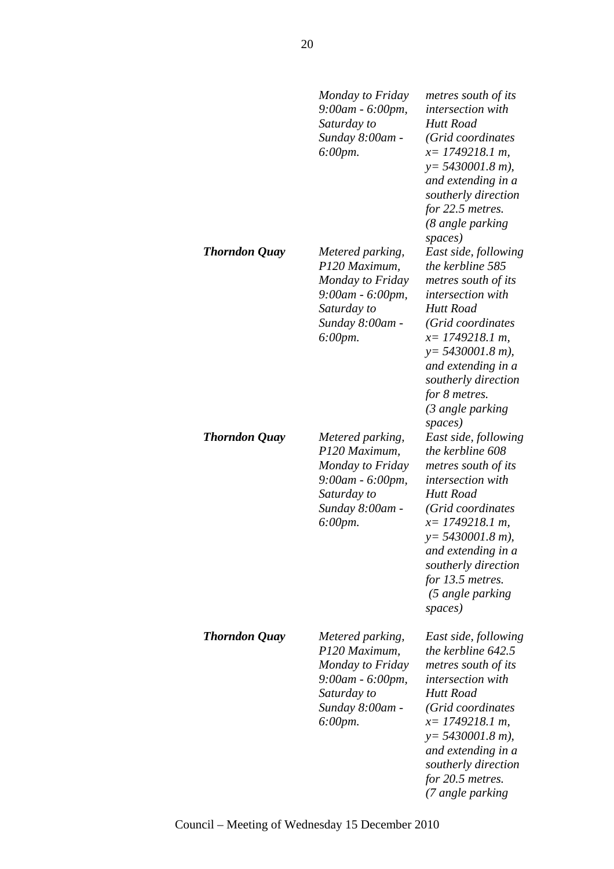|               | Monday to Friday<br>9:00am - 6:00pm,<br>Saturday to<br>Sunday 8:00am -<br>6:00pm.                                      | metres south of its<br><i>intersection with</i><br><b>Hutt Road</b><br>(Grid coordinates<br>$x=$ 1749218.1 m,<br>$y = 5430001.8$ m),<br>and extending in a<br>southerly direction<br>for 22.5 metres.<br>(8 angle parking                                                                |
|---------------|------------------------------------------------------------------------------------------------------------------------|------------------------------------------------------------------------------------------------------------------------------------------------------------------------------------------------------------------------------------------------------------------------------------------|
| Thorndon Quay | Metered parking,<br>P120 Maximum,<br>Monday to Friday<br>9:00am - 6:00pm,<br>Saturday to<br>Sunday 8:00am -<br>6:00pm. | spaces)<br>East side, following<br>the kerbline 585<br>metres south of its<br><i>intersection with</i><br><b>Hutt Road</b><br>(Grid coordinates<br>$x=$ 1749218.1 m,<br>$y = 5430001.8$ m),<br>and extending in a<br>southerly direction<br>for 8 metres.<br>(3 angle parking<br>spaces) |
| Thorndon Quay | Metered parking,<br>P120 Maximum,<br>Monday to Friday<br>9:00am - 6:00pm,<br>Saturday to<br>Sunday 8:00am -<br>6:00pm. | East side, following<br>the kerbline 608<br>metres south of its<br><i>intersection with</i><br><b>Hutt Road</b><br>(Grid coordinates<br>$x=$ 1749218.1 m,<br>$y = 5430001.8$ m),<br>and extending in a<br>southerly direction<br>for 13.5 metres.<br>(5 angle parking<br>spaces)         |
| Thorndon Quay | Metered parking,<br>P120 Maximum,<br>Monday to Friday<br>9:00am - 6:00pm,<br>Saturday to<br>Sunday 8:00am -<br>6:00pm. | East side, following<br>the kerbline 642.5<br>metres south of its<br><i>intersection with</i><br>Hutt Road<br>(Grid coordinates<br>$x=$ 1749218.1 m,<br>$y = 5430001.8$ m),<br>and extending in a<br>southerly direction<br>for 20.5 metres.<br>(7 angle parking                         |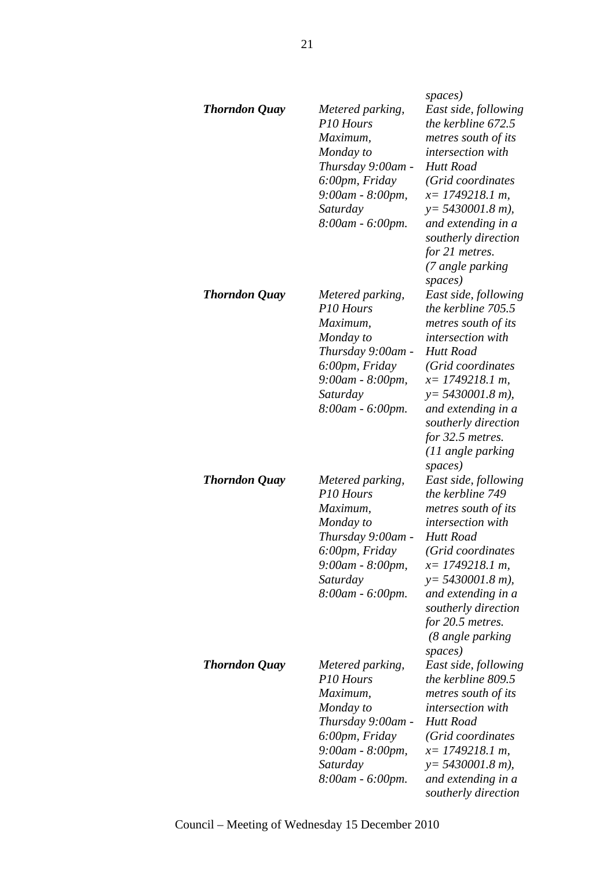| <b>Thorndon Quay</b> | Metered parking,<br>P <sub>10</sub> Hours<br>Maximum,<br>Monday to<br>Thursday 9:00am -<br>6:00pm, Friday<br>9:00am - 8:00pm,<br>Saturday<br>8:00am - 6:00pm. | spaces)<br>East side, following<br>the kerbline 672.5<br>metres south of its<br><i>intersection with</i><br><b>Hutt Road</b><br>(Grid coordinates<br>$x=$ 1749218.1 m,<br>$y = 5430001.8$ m),<br>and extending in a<br>southerly direction<br>for 21 metres.<br>(7 angle parking        |
|----------------------|---------------------------------------------------------------------------------------------------------------------------------------------------------------|-----------------------------------------------------------------------------------------------------------------------------------------------------------------------------------------------------------------------------------------------------------------------------------------|
| <b>Thorndon Quay</b> | Metered parking,<br>P10 Hours<br>Maximum,<br>Monday to<br>Thursday 9:00am -<br>6:00pm, Friday<br>9:00am - 8:00pm,<br>Saturday<br>8:00am - 6:00pm.             | spaces)<br>East side, following<br>the kerbline 705.5<br>metres south of its<br><i>intersection with</i><br>Hutt Road<br>(Grid coordinates<br>$x=$ 1749218.1 m,<br>$y = 5430001.8$ m),<br>and extending in a<br>southerly direction<br>for 32.5 metres.<br>(11 angle parking<br>spaces) |
| <b>Thorndon Quay</b> | Metered parking,<br>P10 Hours<br>Maximum,<br>Monday to<br>Thursday 9:00am -<br>6:00pm, Friday<br>9:00am - 8:00pm,<br>Saturday<br>8:00am - 6:00pm.             | East side, following<br>the kerbline 749<br>metres south of its<br><i>intersection</i> with<br>Hutt Road<br>(Grid coordinates<br>$x=$ 1749218.1 m,<br>$y = 5430001.8$ m),<br>and extending in a<br>southerly direction<br>for $20.5$ metres.<br>(8 angle parking                        |
| <b>Thorndon Quay</b> | Metered parking,<br>P10 Hours<br>Maximum,<br>Monday to<br>Thursday 9:00am -<br>6:00pm, Friday<br>9:00am - 8:00pm,<br>Saturday<br>8:00am - 6:00pm.             | spaces)<br>East side, following<br>the kerbline 809.5<br>metres south of its<br><i>intersection</i> with<br>Hutt Road<br>(Grid coordinates<br>$x=1749218.1 m$ ,<br>$y = 5430001.8$ m),<br>and extending in a<br>southerly direction                                                     |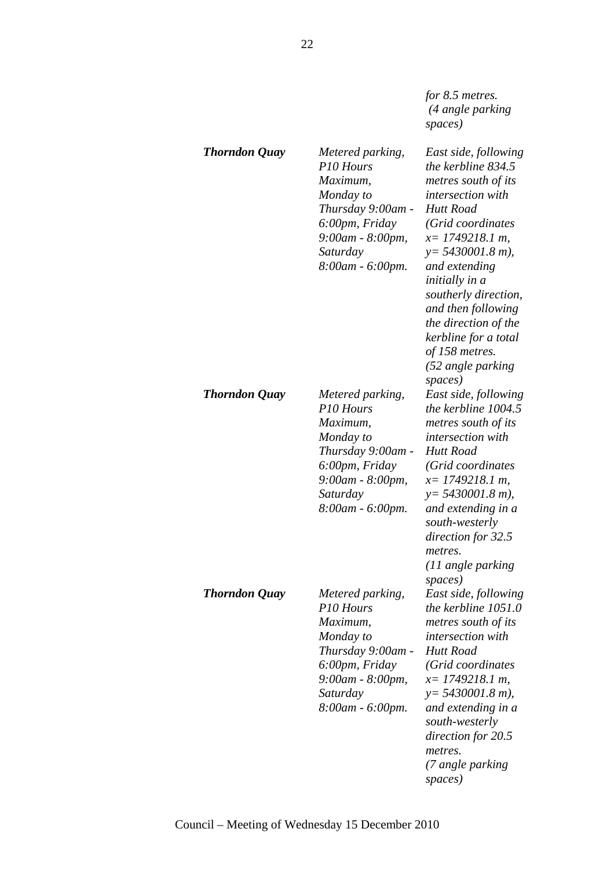*for 8.5 metres. (4 angle parking spaces)*

| <b>Thorndon Quay</b> | Metered parking,<br>P <sub>10</sub> Hours<br>Maximum,<br>Monday to<br>Thursday 9:00am -<br>6:00pm, Friday<br>9:00am - 8:00pm,<br>Saturday<br>8:00am - 6:00pm. | East side, following<br>the kerbline 834.5<br>metres south of its<br><i>intersection with</i><br><b>Hutt Road</b><br>(Grid coordinates<br>$x=$ 1749218.1 m,<br>$y = 5430001.8$ m),<br>and extending<br>initially in a<br>southerly direction,<br>and then following<br>the direction of the<br>kerbline for a total<br>of 158 metres.<br>(52 angle parking<br>spaces) |
|----------------------|---------------------------------------------------------------------------------------------------------------------------------------------------------------|-----------------------------------------------------------------------------------------------------------------------------------------------------------------------------------------------------------------------------------------------------------------------------------------------------------------------------------------------------------------------|
| <b>Thorndon Quay</b> | Metered parking,<br>P10 Hours<br>Maximum,<br>Monday to<br>Thursday 9:00am -<br>6:00pm, Friday<br>9:00am - 8:00pm,<br>Saturday<br>8:00am - 6:00pm.             | East side, following<br>the kerbline 1004.5<br>metres south of its<br><i>intersection with</i><br>Hutt Road<br>(Grid coordinates<br>$x=$ 1749218.1 m,<br>$y = 5430001.8$ m),<br>and extending in a<br>south-westerly<br>direction for 32.5<br>metres.<br>(11 angle parking                                                                                            |
| <b>Thorndon Quay</b> | Metered parking,<br>P10 Hours<br>Maximum,<br>Monday to<br>Thursday 9:00am -<br>6:00pm, Friday<br>9:00am - 8:00pm,<br>Saturday<br>8:00am - 6:00pm.             | spaces)<br>East side, following<br>the kerbline 1051.0<br>metres south of its<br><i>intersection with</i><br>Hutt Road<br>(Grid coordinates<br>$x=$ 1749218.1 m,<br>$y = 5430001.8$ m),<br>and extending in a<br>south-westerly<br>direction for 20.5<br>metres.<br>(7 angle parking<br>spaces)                                                                       |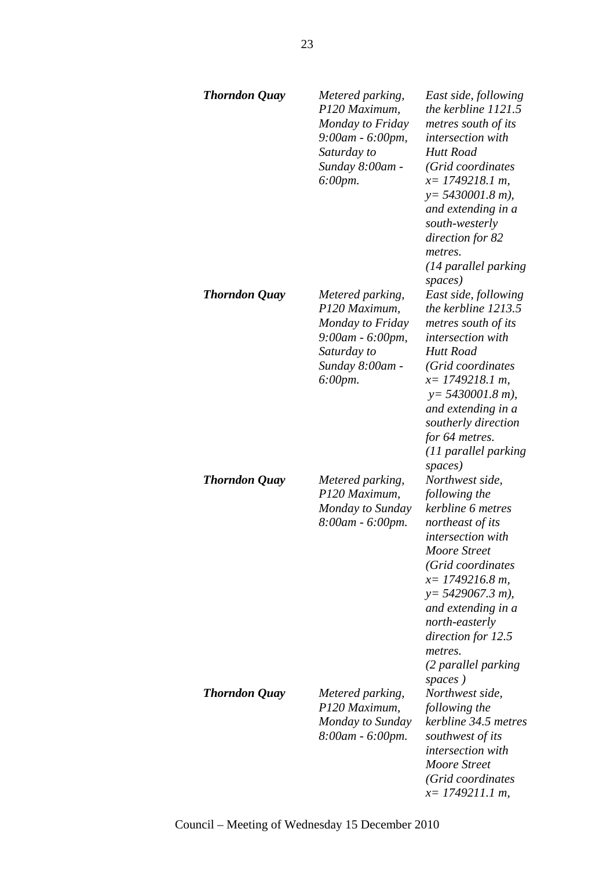| <b>Thorndon Quay</b> | Metered parking,<br>P120 Maximum,<br>Monday to Friday<br>9:00am - 6:00pm,<br>Saturday to<br>Sunday 8:00am -<br>$6:00 \, \text{pm}.$ | East side, following<br>the kerbline 1121.5<br>metres south of its<br>intersection with<br>Hutt Road<br>(Grid coordinates<br>$x=$ 1749218.1 m,<br>$y = 5430001.8$ m),<br>and extending in a<br>south-westerly<br>direction for 82<br>metres.<br>(14 parallel parking<br>spaces)            |
|----------------------|-------------------------------------------------------------------------------------------------------------------------------------|--------------------------------------------------------------------------------------------------------------------------------------------------------------------------------------------------------------------------------------------------------------------------------------------|
| <b>Thorndon Quay</b> | Metered parking,<br>P120 Maximum,<br>Monday to Friday<br>9:00am - 6:00pm,<br>Saturday to<br>Sunday 8:00am -<br>6:00pm.              | East side, following<br>the kerbline 1213.5<br>metres south of its<br>intersection with<br><b>Hutt Road</b><br>(Grid coordinates<br>$x=$ 1749218.1 m,<br>$y = 5430001.8$ m),<br>and extending in a<br>southerly direction<br>for 64 metres.<br>(11 parallel parking<br>spaces)             |
| <b>Thorndon Quay</b> | Metered parking,<br>P120 Maximum,<br>Monday to Sunday<br>8:00am - 6:00pm.                                                           | Northwest side,<br>following the<br>kerbline 6 metres<br>northeast of its<br>intersection with<br>Moore Street<br>(Grid coordinates<br>$x=1749216.8 m$ ,<br>$y = 5429067.3 m$ ,<br>and extending in a<br>north-easterly<br>direction for 12.5<br>metres.<br>(2 parallel parking<br>spaces) |
| <b>Thorndon Quay</b> | Metered parking,<br>P120 Maximum,<br>Monday to Sunday<br>8:00am - 6:00pm.                                                           | Northwest side,<br>following the<br>kerbline 34.5 metres<br>southwest of its<br>intersection with<br>Moore Street<br>(Grid coordinates<br>$x=$ 1749211.1 m,                                                                                                                                |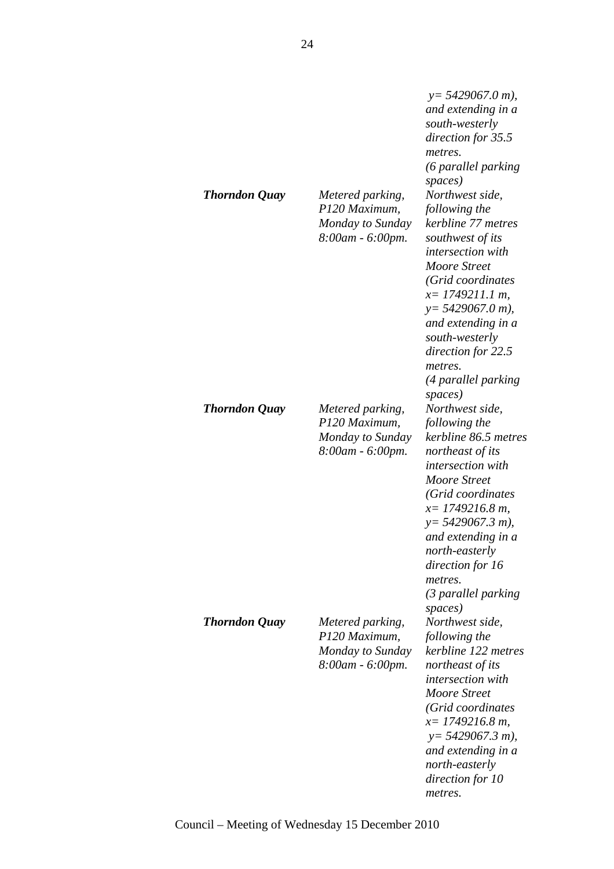| <b>Thorndon Quay</b> | Metered parking,<br>P120 Maximum,<br>Monday to Sunday<br>8:00am - 6:00pm. | $y = 5429067.0 m$ ,<br>and extending in a<br>south-westerly<br>direction for 35.5<br>metres.<br>(6 parallel parking<br>spaces)<br>Northwest side,<br>following the<br>kerbline 77 metres<br>southwest of its<br>intersection with<br><b>Moore Street</b><br>(Grid coordinates<br>$x=$ 1749211.1 m,<br>$y = 5429067.0 m$ ,<br>and extending in a<br>south-westerly<br>direction for 22.5<br>metres.<br>(4 parallel parking<br>spaces) |
|----------------------|---------------------------------------------------------------------------|--------------------------------------------------------------------------------------------------------------------------------------------------------------------------------------------------------------------------------------------------------------------------------------------------------------------------------------------------------------------------------------------------------------------------------------|
| <b>Thorndon Quay</b> | Metered parking,<br>P120 Maximum,<br>Monday to Sunday<br>8:00am - 6:00pm. | Northwest side,<br>following the<br>kerbline 86.5 metres<br>northeast of its<br><i>intersection with</i><br>Moore Street<br>(Grid coordinates<br>$x=1749216.8 m$ ,<br>$y = 5429067.3 m$ ),<br>and extending in a<br>north-easterly<br>direction for 16<br>metres.<br>(3 parallel parking                                                                                                                                             |
| <b>Thorndon Quay</b> | Metered parking,<br>P120 Maximum,<br>Monday to Sunday<br>8:00am - 6:00pm. | spaces)<br>Northwest side,<br>following the<br>kerbline 122 metres<br>northeast of its<br><i>intersection with</i><br>Moore Street<br>(Grid coordinates<br>$x=1749216.8 m$ ,<br>$y = 5429067.3 m$ ),<br>and extending in a<br>north-easterly<br>direction for 10<br>metres.                                                                                                                                                          |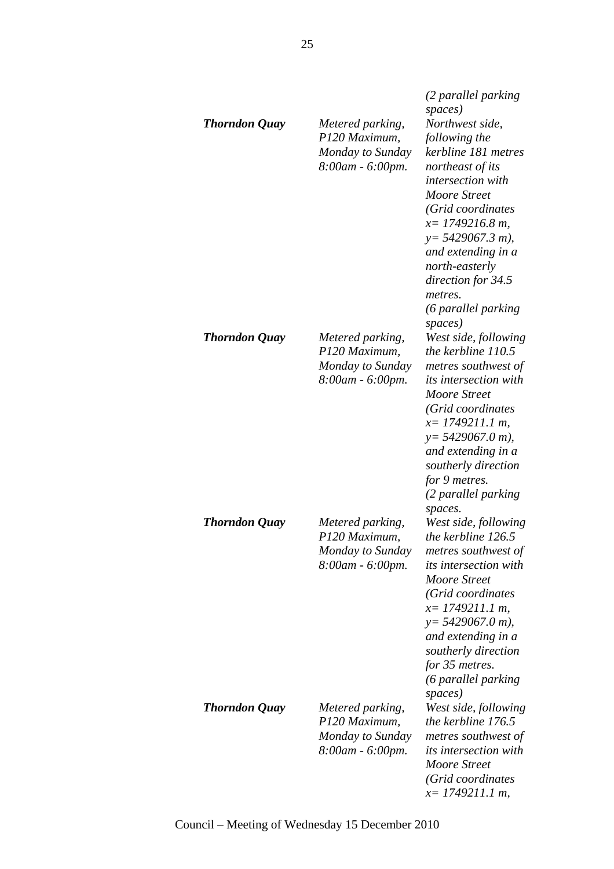| <b>Thorndon Quay</b> | Metered parking,<br>P120 Maximum,<br>Monday to Sunday<br>8:00am - 6:00pm. | (2 parallel parking<br>spaces)<br>Northwest side,<br>following the<br>kerbline 181 metres<br>northeast of its<br>intersection with<br>Moore Street<br>(Grid coordinates<br>$x=1749216.8 m$ ,<br>$y = 5429067.3 m$ ),<br>and extending in a<br>north-easterly<br>direction for 34.5<br>metres.<br>(6 parallel parking |
|----------------------|---------------------------------------------------------------------------|----------------------------------------------------------------------------------------------------------------------------------------------------------------------------------------------------------------------------------------------------------------------------------------------------------------------|
| <b>Thorndon Quay</b> | Metered parking,<br>P120 Maximum,<br>Monday to Sunday<br>8:00am - 6:00pm. | spaces)<br>West side, following<br>the kerbline 110.5<br>metres southwest of<br><i>its intersection with</i><br>Moore Street<br>(Grid coordinates<br>$x=$ 1749211.1 m,<br>$y = 5429067.0 m$ ),<br>and extending in a<br>southerly direction<br>for 9 metres.<br>(2 parallel parking                                  |
| <b>Thorndon Quay</b> | Metered parking,<br>P120 Maximum,<br>Monday to Sunday<br>8:00am - 6:00pm. | spaces.<br>West side, following<br>the kerbline 126.5<br>metres southwest of<br><i>its intersection with</i><br>Moore Street<br>(Grid coordinates<br>$x=$ 1749211.1 m,<br>$y = 5429067.0 m$ ,<br>and extending in a<br>southerly direction<br>for 35 metres.<br>(6 parallel parking<br>spaces)                       |
| <b>Thorndon Quay</b> | Metered parking,<br>P120 Maximum,<br>Monday to Sunday<br>8:00am - 6:00pm. | West side, following<br>the kerbline 176.5<br>metres southwest of<br><i>its intersection with</i><br><b>Moore Street</b><br>(Grid coordinates<br>$x=$ 1749211.1 m,                                                                                                                                                   |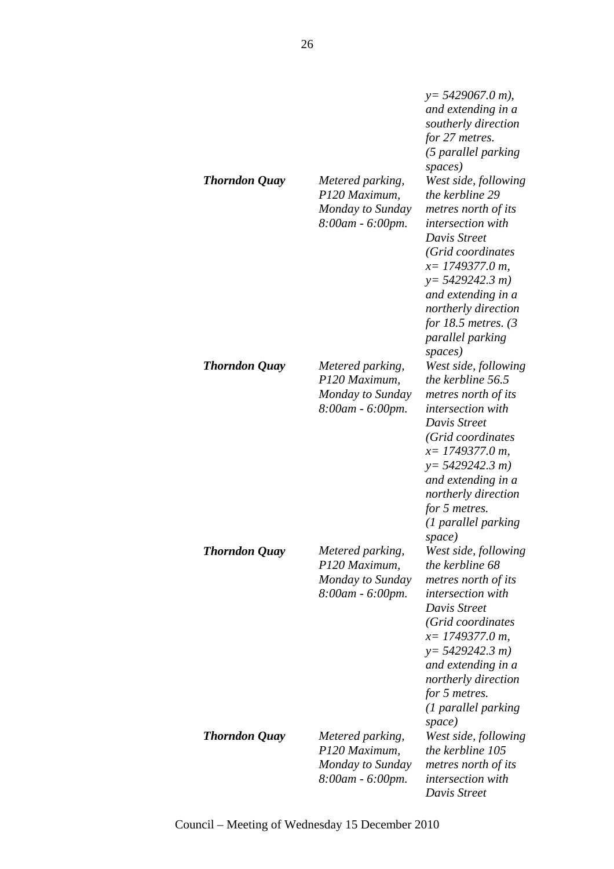| Thorndon Quay        | Metered parking,<br>P120 Maximum,<br>Monday to Sunday<br>8:00am - 6:00pm. | $y = 5429067.0 m$ ,<br>and extending in a<br>southerly direction<br>for 27 metres.<br>(5 parallel parking<br>spaces)<br>West side, following<br>the kerbline 29<br>metres north of its<br><i>intersection</i> with<br>Davis Street<br>(Grid coordinates<br>$x=$ 1749377.0 m,<br>$y=5429242.3 m$<br>and extending in a<br>northerly direction<br>for 18.5 metres. $(3)$<br>parallel parking<br>spaces) |
|----------------------|---------------------------------------------------------------------------|-------------------------------------------------------------------------------------------------------------------------------------------------------------------------------------------------------------------------------------------------------------------------------------------------------------------------------------------------------------------------------------------------------|
| <b>Thorndon Quay</b> | Metered parking,<br>P120 Maximum,<br>Monday to Sunday<br>8:00am - 6:00pm. | West side, following<br>the kerbline 56.5<br>metres north of its<br><i>intersection with</i><br>Davis Street<br>(Grid coordinates<br>$x=$ 1749377.0 m,<br>$y=5429242.3 m$<br>and extending in a<br>northerly direction<br>for 5 metres.<br>(1 parallel parking<br>space)                                                                                                                              |
| <b>Thorndon Quay</b> | Metered parking,<br>P120 Maximum,<br>Monday to Sunday<br>8:00am - 6:00pm. | West side, following<br>the kerbline 68<br>metres north of its<br><i>intersection</i> with<br>Davis Street<br>(Grid coordinates<br>$x=$ 1749377.0 m,<br>$y=5429242.3 m$<br>and extending in a<br>northerly direction<br>for 5 metres.<br>(1 parallel parking<br>space)                                                                                                                                |
| <b>Thorndon Quay</b> | Metered parking,<br>P120 Maximum,<br>Monday to Sunday<br>8:00am - 6:00pm. | West side, following<br>the kerbline 105<br>metres north of its<br><i>intersection</i> with<br>Davis Street                                                                                                                                                                                                                                                                                           |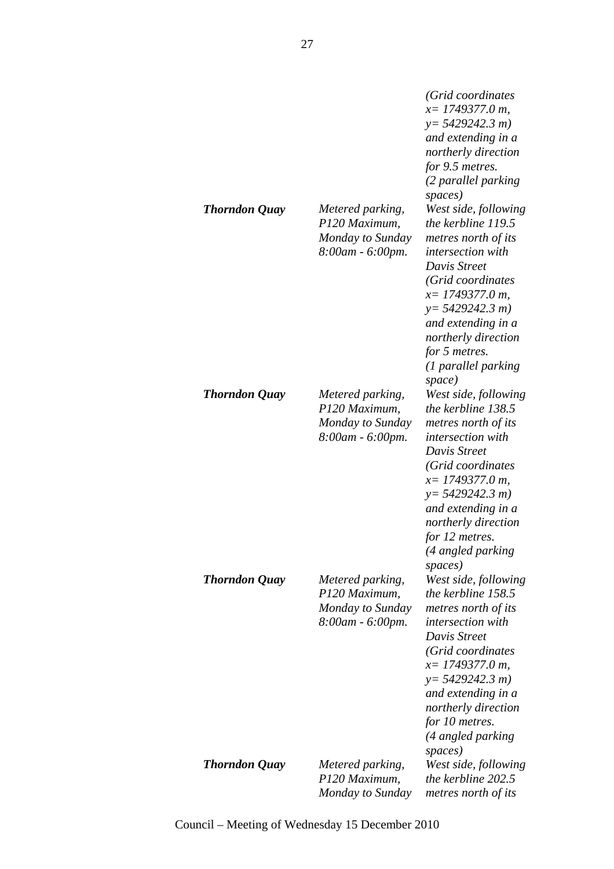| <b>Thorndon Quay</b> | Metered parking,<br>P120 Maximum,<br>Monday to Sunday<br>8:00am - 6:00pm. | (Grid coordinates<br>$x=$ 1749377.0 m,<br>$y=5429242.3 m$<br>and extending in a<br>northerly direction<br>for 9.5 metres.<br>(2 parallel parking<br>spaces)<br>West side, following<br>the kerbline 119.5<br>metres north of its<br><i>intersection</i> with<br>Davis Street<br>(Grid coordinates<br>$x=$ 1749377.0 m,<br>$y=5429242.3 m$<br>and extending in a<br>northerly direction<br>for 5 metres.<br>(1 parallel parking<br>space) |
|----------------------|---------------------------------------------------------------------------|------------------------------------------------------------------------------------------------------------------------------------------------------------------------------------------------------------------------------------------------------------------------------------------------------------------------------------------------------------------------------------------------------------------------------------------|
| Thorndon Quay        | Metered parking,<br>P120 Maximum,<br>Monday to Sunday<br>8:00am - 6:00pm. | West side, following<br>the kerbline 138.5<br>metres north of its<br><i>intersection with</i><br>Davis Street<br>(Grid coordinates<br>$x=$ 1749377.0 m,<br>$y=5429242.3 m$<br>and extending in a<br>northerly direction<br>for 12 metres.<br>(4 angled parking<br>spaces)                                                                                                                                                                |
| <b>Thorndon Quay</b> | Metered parking,<br>P120 Maximum,<br>Monday to Sunday<br>8:00am - 6:00pm. | West side, following<br>the kerbline 158.5<br>metres north of its<br><i>intersection with</i><br>Davis Street<br>(Grid coordinates<br>$x=1749377.0 m$ ,<br>$y = 5429242.3 m$<br>and extending in a<br>northerly direction<br>for 10 metres.<br>(4 angled parking<br>spaces)                                                                                                                                                              |
| <b>Thorndon Quay</b> | Metered parking,<br>P120 Maximum,<br>Monday to Sunday                     | West side, following<br>the kerbline 202.5<br>metres north of its                                                                                                                                                                                                                                                                                                                                                                        |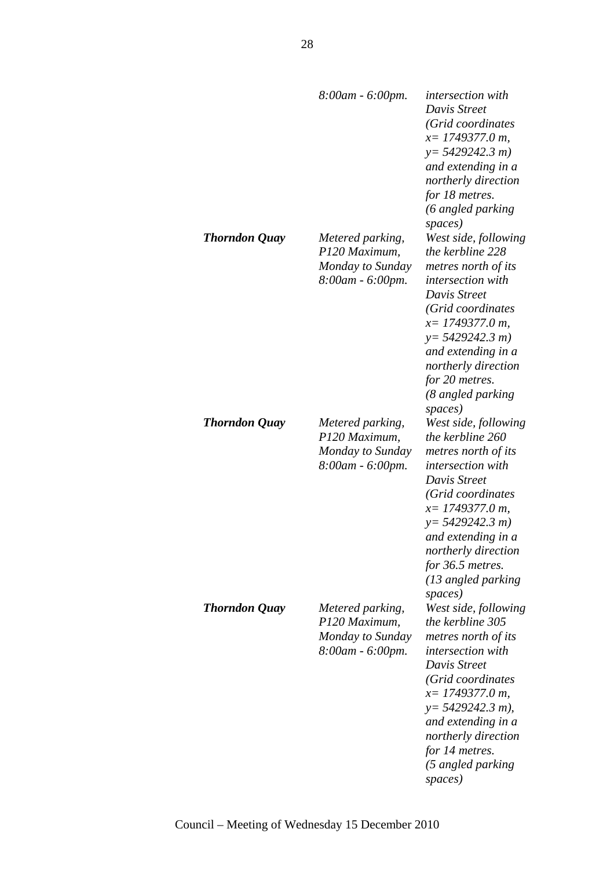|                      | 8:00am - 6:00pm.                                                          | <i>intersection</i> with<br>Davis Street<br>(Grid coordinates<br>$x=$ 1749377.0 m,<br>$y=5429242.3 m$<br>and extending in a<br>northerly direction<br>for 18 metres.<br>(6 angled parking<br>spaces)                                                                       |
|----------------------|---------------------------------------------------------------------------|----------------------------------------------------------------------------------------------------------------------------------------------------------------------------------------------------------------------------------------------------------------------------|
| <b>Thorndon Quay</b> | Metered parking,<br>P120 Maximum,<br>Monday to Sunday<br>8:00am - 6:00pm. | West side, following<br>the kerbline 228<br>metres north of its<br><i>intersection with</i><br>Davis Street<br>(Grid coordinates<br>$x=$ 1749377.0 m,<br>$y=5429242.3 m$<br>and extending in a<br>northerly direction<br>for 20 metres.<br>(8 angled parking<br>spaces)    |
| <b>Thorndon Quay</b> | Metered parking,<br>P120 Maximum,<br>Monday to Sunday<br>8:00am - 6:00pm. | West side, following<br>the kerbline 260<br>metres north of its<br><i>intersection with</i><br>Davis Street<br>(Grid coordinates<br>$x=$ 1749377.0 m,<br>$y=5429242.3 m$<br>and extending in a<br>northerly direction<br>for 36.5 metres.<br>(13 angled parking<br>spaces) |
| <b>Thorndon Quay</b> | Metered parking,<br>P120 Maximum,<br>Monday to Sunday<br>8:00am - 6:00pm. | West side, following<br>the kerbline 305<br>metres north of its<br><i>intersection with</i><br>Davis Street<br>(Grid coordinates<br>$x=$ 1749377.0 m,<br>$y=$ 5429242.3 m),<br>and extending in a<br>northerly direction<br>for 14 metres.<br>(5 angled parking<br>spaces) |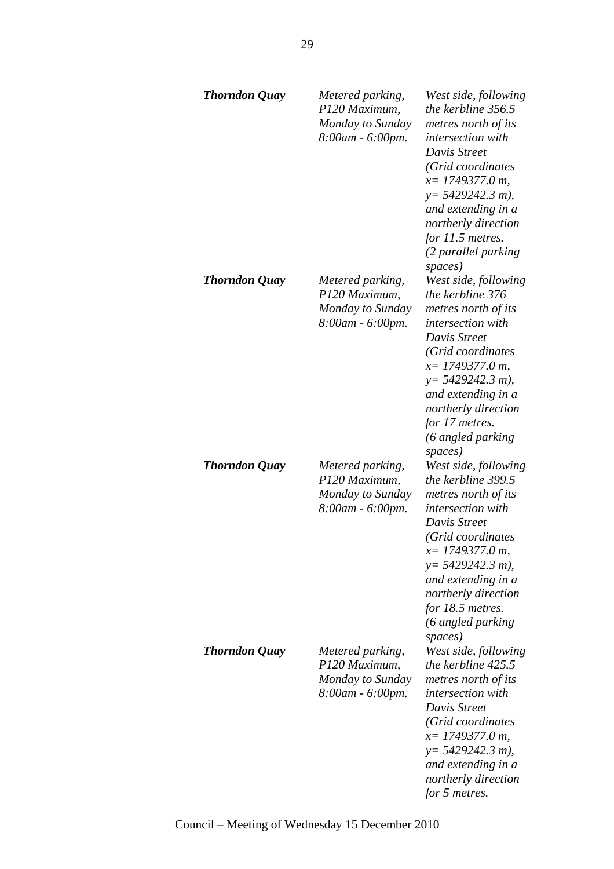| <b>Thorndon Quay</b> | Metered parking,<br>P120 Maximum,<br>Monday to Sunday<br>8:00am - 6:00pm. | West side, following<br>the kerbline 356.5<br>metres north of its<br><i>intersection with</i><br>Davis Street<br>(Grid coordinates<br>$x=$ 1749377.0 m,<br>$y=$ 5429242.3 m),<br>and extending in a<br>northerly direction<br>for 11.5 metres.<br>(2 parallel parking<br>spaces) |
|----------------------|---------------------------------------------------------------------------|----------------------------------------------------------------------------------------------------------------------------------------------------------------------------------------------------------------------------------------------------------------------------------|
| <b>Thorndon Quay</b> | Metered parking,<br>P120 Maximum,<br>Monday to Sunday<br>8:00am - 6:00pm. | West side, following<br>the kerbline 376<br>metres north of its<br><i>intersection with</i><br>Davis Street<br>(Grid coordinates<br>$x=$ 1749377.0 m,<br>$y = 5429242.3 m$ ,<br>and extending in a<br>northerly direction<br>for 17 metres.<br>(6 angled parking<br>spaces)      |
| <b>Thorndon Quay</b> | Metered parking,<br>P120 Maximum,<br>Monday to Sunday<br>8:00am - 6:00pm. | West side, following<br>the kerbline 399.5<br>metres north of its<br>intersection with<br>Davis Street<br>(Grid coordinates<br>$x=1749377.0 m$ ,<br>$y=$ 5429242.3 m),<br>and extending in a<br>northerly direction<br>for 18.5 metres.<br>(6 angled parking<br>spaces)          |
| <b>Thorndon Quay</b> | Metered parking,<br>P120 Maximum,<br>Monday to Sunday<br>8:00am - 6:00pm. | West side, following<br>the kerbline 425.5<br>metres north of its<br>intersection with<br>Davis Street<br>(Grid coordinates<br>$x=$ 1749377.0 m,<br>$y=$ 5429242.3 m),<br>and extending in a<br>northerly direction<br>for 5 metres.                                             |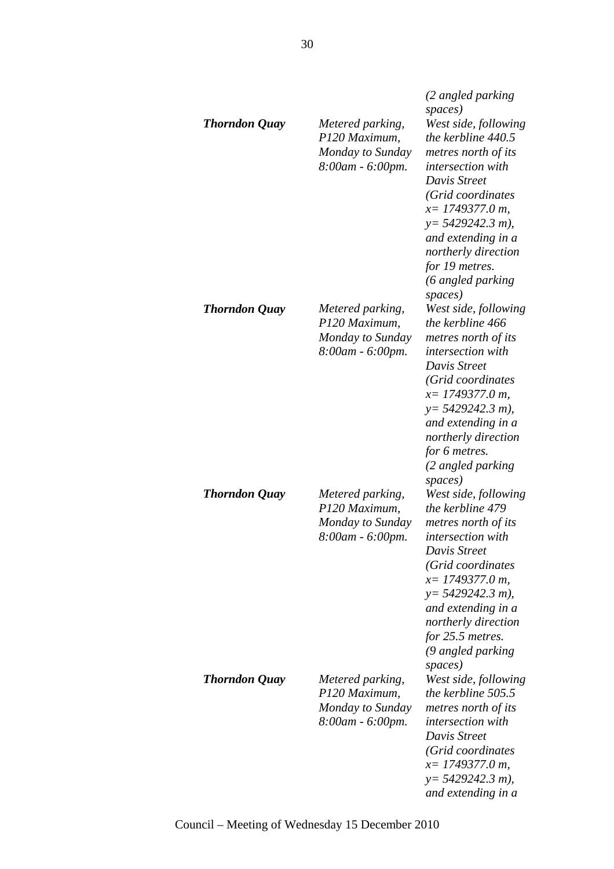| Thorndon Quay        | Metered parking,<br>P120 Maximum,<br>Monday to Sunday<br>8:00am - 6:00pm. | (2 angled parking<br>spaces)<br>West side, following<br>the kerbline 440.5<br>metres north of its<br><i>intersection</i> with<br>Davis Street<br>(Grid coordinates<br>$x=$ 1749377.0 m,<br>$y = 5429242.3 m$ ),<br>and extending in a<br>northerly direction<br>for 19 metres.<br>(6 angled parking |
|----------------------|---------------------------------------------------------------------------|-----------------------------------------------------------------------------------------------------------------------------------------------------------------------------------------------------------------------------------------------------------------------------------------------------|
| <b>Thorndon Quay</b> | Metered parking,<br>P120 Maximum,<br>Monday to Sunday<br>8:00am - 6:00pm. | spaces)<br>West side, following<br>the kerbline 466<br>metres north of its<br>intersection with<br>Davis Street<br>(Grid coordinates<br>$x=$ 1749377.0 m,<br>$y=$ 5429242.3 m),<br>and extending in a<br>northerly direction<br>for 6 metres.<br>(2 angled parking<br>spaces)                       |
| <b>Thorndon Quay</b> | Metered parking,<br>P120 Maximum,<br>Monday to Sunday<br>8:00am - 6:00pm. | West side, following<br>the kerbline 479<br>metres north of its<br>intersection with<br>Davis Street<br>(Grid coordinates<br>$x=$ 1749377.0 m,<br>$y = 5429242.3 m$ ),<br>and extending in a<br>northerly direction<br>for 25.5 metres.<br>(9 angled parking<br>spaces)                             |
| <b>Thorndon Quay</b> | Metered parking,<br>P120 Maximum,<br>Monday to Sunday<br>8:00am - 6:00pm. | West side, following<br>the kerbline 505.5<br>metres north of its<br><i>intersection with</i><br>Davis Street<br>(Grid coordinates<br>$x=$ 1749377.0 m,<br>$y = 5429242.3 m$ ),<br>and extending in a                                                                                               |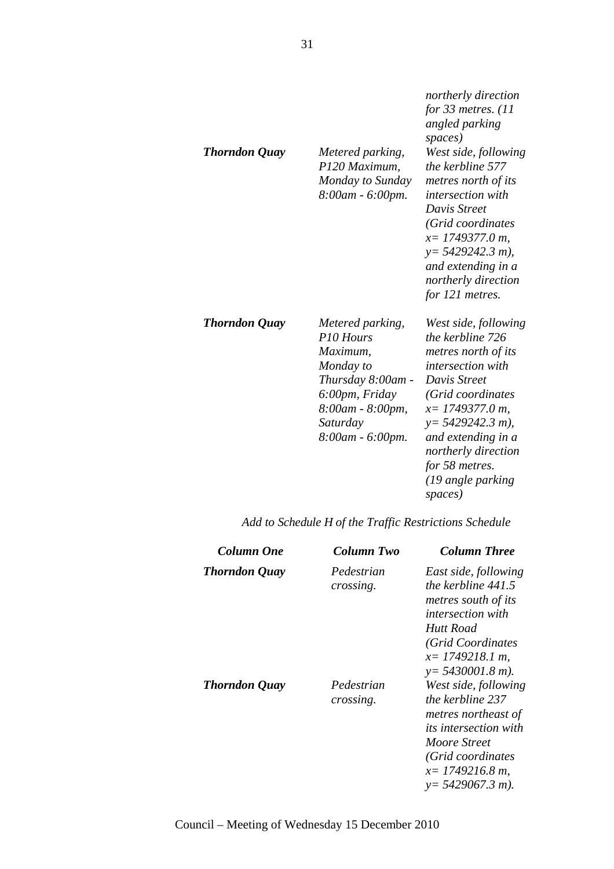| <b>Thorndon Quay</b> | Metered parking,<br>P120 Maximum,<br>Monday to Sunday<br>8:00am - 6:00pm.                                                                         | for 33 metres. $(11)$<br>angled parking<br>spaces)<br>West side, following<br>the kerbline 577<br>metres north of its<br>intersection with<br>Davis Street<br>(Grid coordinates<br>$x=$ 1749377.0 m,<br>$y=$ 5429242.3 m),<br>and extending in a<br>northerly direction<br>for 121 metres. |
|----------------------|---------------------------------------------------------------------------------------------------------------------------------------------------|--------------------------------------------------------------------------------------------------------------------------------------------------------------------------------------------------------------------------------------------------------------------------------------------|
| Thorndon Quay        | Metered parking,<br>P10 Hours<br>Maximum,<br>Monday to<br>Thursday 8:00am -<br>6:00pm, Friday<br>8:00am - 8:00pm,<br>Saturday<br>8:00am - 6:00pm. | West side, following<br>the kerbline 726<br>metres north of its<br>intersection with<br>Davis Street<br>(Grid coordinates<br>$x=$ 1749377.0 m,<br>$y = 5429242.3 m$ ,<br>and extending in a<br>northerly direction<br>for 58 metres.<br>(19 angle parking<br>spaces)                       |

*northerly direction* 

*Add to Schedule H of the Traffic Restrictions Schedule* 

| Column One           | Column Two              | <b>Column Three</b>                                                                                                                                                               |
|----------------------|-------------------------|-----------------------------------------------------------------------------------------------------------------------------------------------------------------------------------|
| <b>Thorndon Quay</b> | Pedestrian<br>crossing. | East side, following<br>the kerbline 441.5<br>metres south of its<br><i>intersection with</i><br>Hutt Road<br>(Grid Coordinates<br>$x=1749218.1 m$<br>$y = 5430001.8$ m).         |
| <b>Thorndon Quay</b> | Pedestrian<br>crossing. | West side, following<br>the kerbline 237<br>metres northeast of<br><i>its intersection with</i><br>Moore Street<br>(Grid coordinates<br>$x=1749216.8 m$ ,<br>$y = 5429067.3 m$ ). |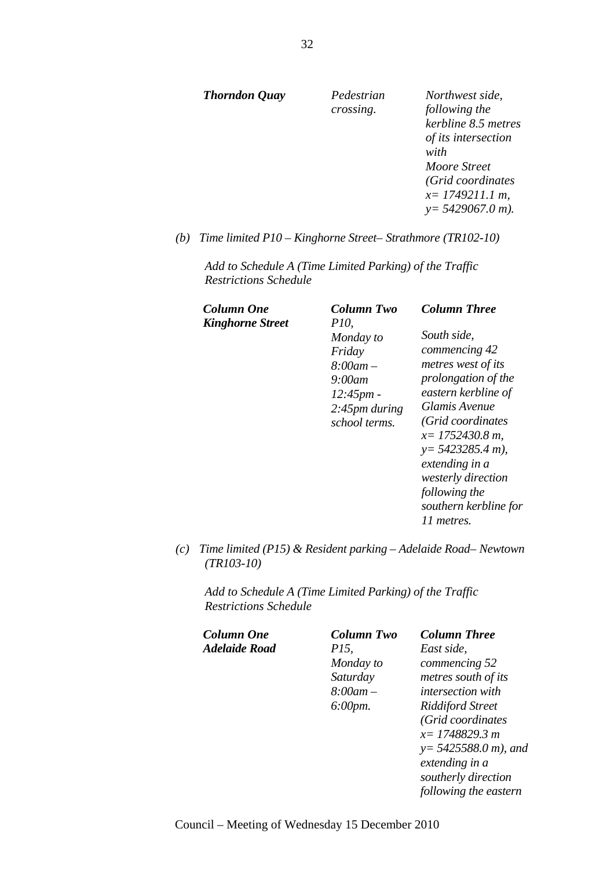| Thorndon Quay | Pedestrian<br>crossing. | Northwest side,<br>following the<br>kerbline 8.5 metres<br>of its intersection<br>with<br>Moore Street |
|---------------|-------------------------|--------------------------------------------------------------------------------------------------------|
|               |                         | (Grid coordinates<br>$x=$ 1749211.1 m,<br>$y = 5429067.0 m$ .                                          |

*(b) Time limited P10 – Kinghorne Street– Strathmore (TR102-10)* 

*Add to Schedule A (Time Limited Parking) of the Traffic Restrictions Schedule* 

| Column One<br>Kinghorne Street | Column Two<br><i>P10</i> ,                                                                            | <b>Column Three</b>                                                                                                                                                                                                                                                                 |
|--------------------------------|-------------------------------------------------------------------------------------------------------|-------------------------------------------------------------------------------------------------------------------------------------------------------------------------------------------------------------------------------------------------------------------------------------|
|                                | Monday to<br>Friday<br>$8:00$ am $-$<br>9:00am<br>12:45pm<br>$2:45$ <i>pm during</i><br>school terms. | South side,<br>commencing 42<br>metres west of its<br>prolongation of the<br>eastern kerbline of<br>Glamis Avenue<br>(Grid coordinates<br>$x=$ 1752430.8 m,<br>$y = 5423285.4 m$ ),<br>extending in a<br>westerly direction<br>following the<br>southern kerbline for<br>11 metres. |

*(c) Time limited (P15) & Resident parking – Adelaide Road– Newtown (TR103-10)* 

*Add to Schedule A (Time Limited Parking) of the Traffic Restrictions Schedule* 

| Column One    | Column Two           | <b>Column Three</b>      |
|---------------|----------------------|--------------------------|
| Adelaide Road | <i>P15,</i>          | East side,               |
|               | Monday to            | commencing 52            |
|               | Saturday             | metres south of its      |
|               | $8:00$ am $-$        | <i>intersection with</i> |
|               | $6:00 \, \text{pm}.$ | <b>Riddiford Street</b>  |
|               |                      | (Grid coordinates        |
|               |                      | $x=1748829.3 m$          |
|               |                      | $y = 5425588.0 m$ , and  |
|               |                      | extending in a           |
|               |                      | southerly direction      |
|               |                      | following the eastern    |
|               |                      |                          |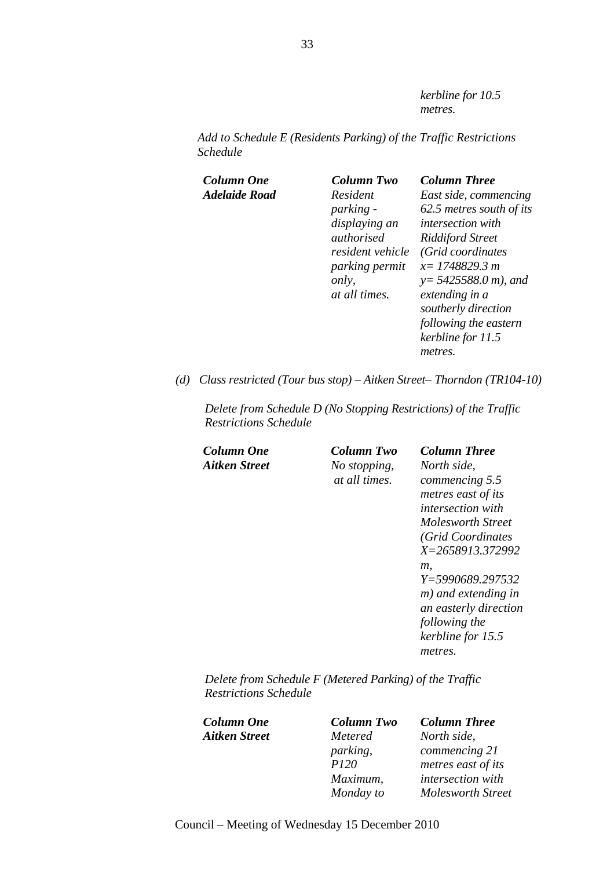*kerbline for 10.5 metres.* 

*Add to Schedule E (Residents Parking) of the Traffic Restrictions Schedule* 

| Column One    | Column Two            | <b>Column Three</b>      |
|---------------|-----------------------|--------------------------|
| Adelaide Road | Resident              | East side, commencing    |
|               | <i>parking -</i>      | 62.5 metres south of its |
|               | displaying an         | intersection with        |
|               | authorised            | <b>Riddiford Street</b>  |
|               | resident vehicle      | (Grid coordinates        |
|               | <i>parking permit</i> | $x=1748829.3 m$          |
|               | only,                 | $y = 5425588.0 m$ , and  |
|               | at all times.         | extending in a           |
|               |                       | southerly direction      |
|               |                       | following the eastern    |
|               |                       | kerbline for 11.5        |
|               |                       | metres.                  |
|               |                       |                          |

*(d) Class restricted (Tour bus stop) – Aitken Street– Thorndon (TR104-10)* 

*Delete from Schedule D (No Stopping Restrictions) of the Traffic Restrictions Schedule* 

*Aitken Street No stopping, at all times.*

*Column One Column Two Column Three North side, commencing 5.5 metres east of its intersection with Molesworth Street (Grid Coordinates X=2658913.372992 m, Y=5990689.297532 m) and extending in an easterly direction following the kerbline for 15.5 metres.* 

*Delete from Schedule F (Metered Parking) of the Traffic Restrictions Schedule* 

| Column One    | <b>Column Two</b> | <b>Column Three</b>      |
|---------------|-------------------|--------------------------|
| Aitken Street | Metered           | North side,              |
|               | parking,          | commencing 21            |
|               | <i>P120</i>       | metres east of its       |
|               | Maximum,          | intersection with        |
|               | Monday to         | <b>Molesworth Street</b> |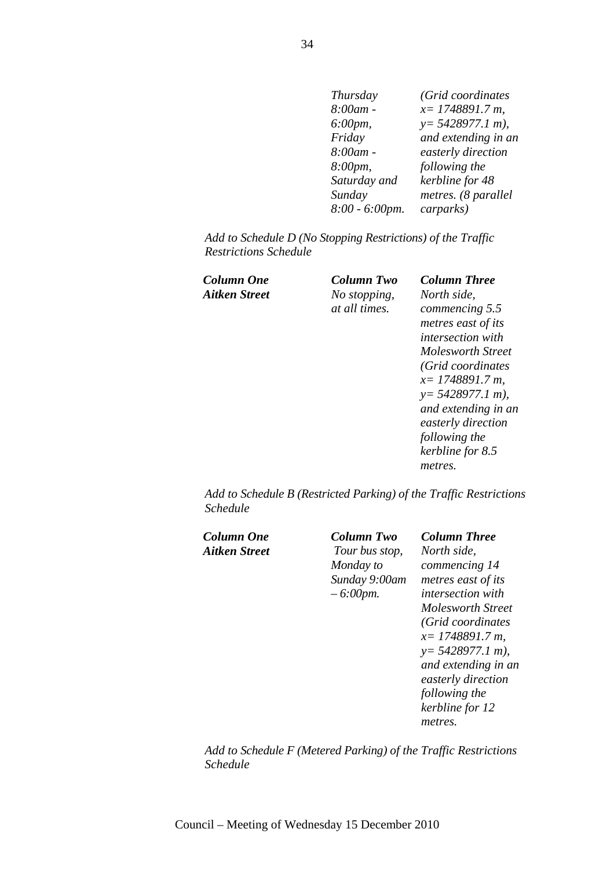| Thursday       | (Grid coordinates   |
|----------------|---------------------|
| 8:00am -       | $x=1748891.7 m$ ,   |
| 6:00pm,        | $y = 5428977.1 m$ , |
| Friday         | and extending in an |
| 8:00am -       | easterly direction  |
| 8:00pm,        | following the       |
| Saturday and   | kerbline for 48     |
| Sunday         | metres. (8 parallel |
| 8:00 - 6:00pm. | carparks)           |

*Add to Schedule D (No Stopping Restrictions) of the Traffic Restrictions Schedule* 

| Column One    |  |
|---------------|--|
| Aitken Street |  |

*Aitken Street No stopping, at all times.* 

*Column One Column Two Column Three North side, commencing 5.5 metres east of its intersection with Molesworth Street (Grid coordinates x= 1748891.7 m, y= 5428977.1 m), and extending in an easterly direction following the kerbline for 8.5 metres.* 

*Add to Schedule B (Restricted Parking) of the Traffic Restrictions Schedule* 

| Column One    | Column Two     | <b>Column Three</b>      |
|---------------|----------------|--------------------------|
| Aitken Street | Tour bus stop, | North side.              |
|               | Monday to      | commencing 14            |
|               | Sunday 9:00am  | metres east of its       |
|               | $-6:00$ pm.    | <i>intersection with</i> |
|               |                | Molesworth Street        |
|               |                | (Grid coordinates        |
|               |                | $x=1748891.7 m$          |
|               |                | $y = 5428977.1 m$ ,      |
|               |                | and extending in an      |
|               |                | easterly direction       |
|               |                | following the            |
|               |                | kerbline for 12          |
|               |                | metres.                  |
|               |                |                          |
|               |                |                          |

*Add to Schedule F (Metered Parking) of the Traffic Restrictions Schedule*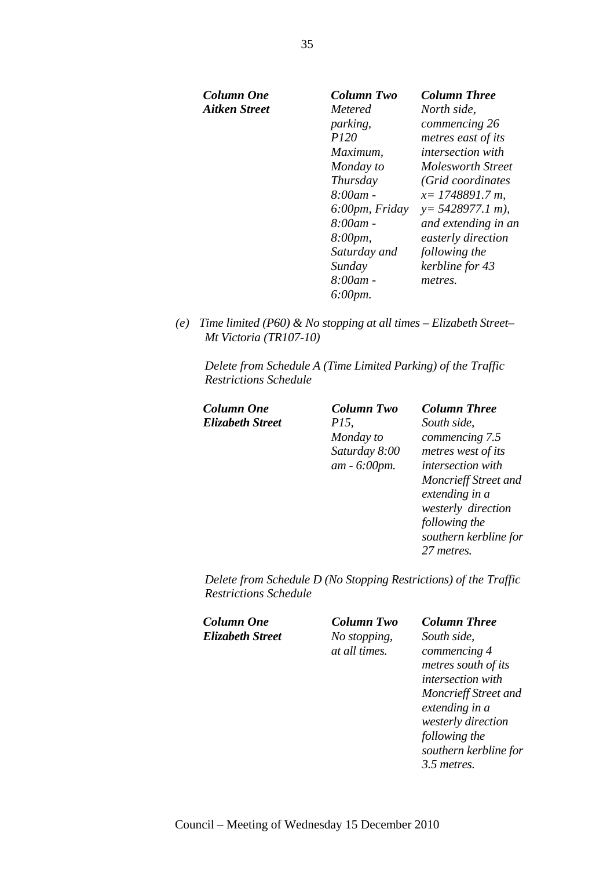| Column One    | Column Two           | <b>Column Three</b>      |
|---------------|----------------------|--------------------------|
| Aitken Street | <i>Metered</i>       | North side,              |
|               | parking,             | commencing 26            |
|               | <i>P120</i>          | metres east of its       |
|               | Maximum,             | <i>intersection with</i> |
|               | Monday to            | Molesworth Street        |
|               | Thursday             | (Grid coordinates        |
|               | $8:00$ am -          | $x=1748891.7 m$ ,        |
|               | 6:00pm, Friday       | $y = 5428977.1 m$ ,      |
|               | $8:00$ am -          | and extending in an      |
|               | 8:00pm,              | easterly direction       |
|               | Saturday and         | following the            |
|               | Sunday               | kerbline for 43          |
|               | $8:00$ am -          | metres.                  |
|               | $6:00 \, \text{pm}.$ |                          |
|               |                      |                          |

*(e) Time limited (P60) & No stopping at all times – Elizabeth Street– Mt Victoria (TR107-10)* 

*Delete from Schedule A (Time Limited Parking) of the Traffic Restrictions Schedule* 

| <b>Column One</b>       | <b>Column Two</b> | <b>Column Three</b>     |
|-------------------------|-------------------|-------------------------|
| <b>Elizabeth Street</b> | <i>P15</i> ,      | South side,             |
|                         | Monday to         | commencing 7.5          |
|                         | Saturday 8:00     | metres west of it       |
|                         | $am - 6:00pm.$    | intersection with       |
|                         |                   | <b>Moncrieff Street</b> |
|                         |                   | extending in a          |
|                         |                   | wortorby divooti        |

*South side, commencing 7.5 metres west of its intersection with Moncrieff Street and extending in a westerly direction following the southern kerbline for 27 metres.* 

*Delete from Schedule D (No Stopping Restrictions) of the Traffic Restrictions Schedule* 

*Column One Column Two Column Three Elizabeth Street No stopping,* 

*at all times.*

*South side, commencing 4 metres south of its intersection with Moncrieff Street and extending in a westerly direction following the southern kerbline for 3.5 metres.*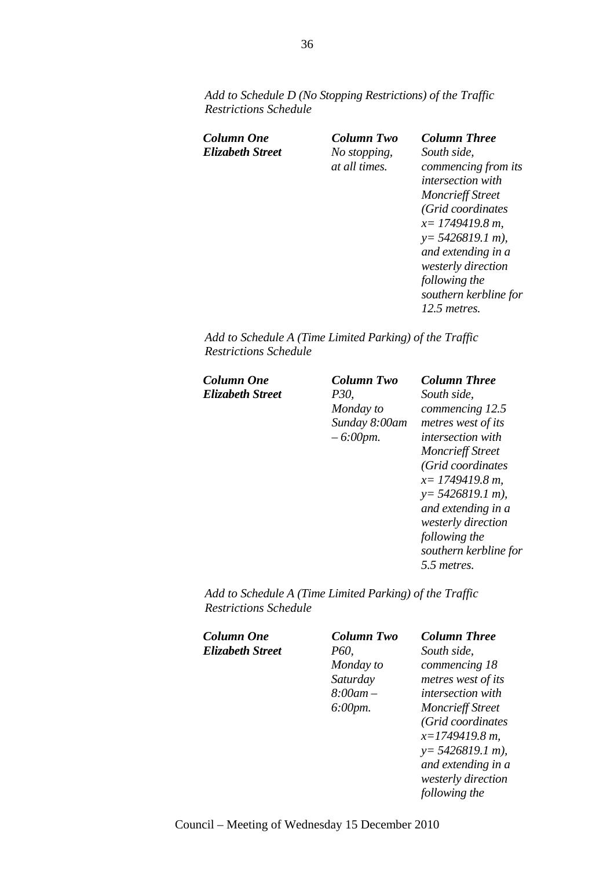*Add to Schedule D (No Stopping Restrictions) of the Traffic Restrictions Schedule* 

| Column One       | Column Two                    | <b>Column Three</b>                                                                                                          |
|------------------|-------------------------------|------------------------------------------------------------------------------------------------------------------------------|
| Elizabeth Street | No stopping,<br>at all times. | South side,<br>commencing from its<br>intersection with<br><b>Moncrieff Street</b><br>(Grid coordinates<br>$x=1749419.8 m$ , |
|                  |                               | $y = 5426819.1 m$ ,<br>and extending in a<br>westerly direction<br>following the<br>southern kerbline for<br>12.5 metres.    |

*Add to Schedule A (Time Limited Parking) of the Traffic Restrictions Schedule* 

| Column One       | Column Two    | <b>Column Three</b>      |
|------------------|---------------|--------------------------|
| Elizabeth Street | <i>P30,</i>   | South side,              |
|                  | Monday to     | commencing 12.5          |
|                  | Sunday 8:00am | metres west of its       |
|                  | $-6:00$ pm.   | <i>intersection with</i> |
|                  |               | <b>Moncrieff Street</b>  |
|                  |               | (Grid coordinates        |
|                  |               | $x=1749419.8 m$ ,        |
|                  |               | $y = 5426819.1 m$ ,      |
|                  |               | and extending in a       |
|                  |               | westerly direction       |
|                  |               | following the            |
|                  |               | southern kerbline for    |
|                  |               | 5.5 metres.              |
|                  |               |                          |

*Add to Schedule A (Time Limited Parking) of the Traffic Restrictions Schedule* 

| Column Two  | <b>Column Three</b>      |
|-------------|--------------------------|
| P60,        | South side,              |
| Monday to   | commencing 18            |
| Saturday    | metres west of its       |
| $8:00$ am – | <i>intersection</i> with |
| 6:00pm.     | <b>Moncrieff Street</b>  |
|             | (Grid coordinates        |
|             | $x=1749419.8 m$ ,        |
|             | $y = 5426819.1 m$ ,      |
|             | and extending in a       |
|             | westerly direction       |
|             | following the            |
|             |                          |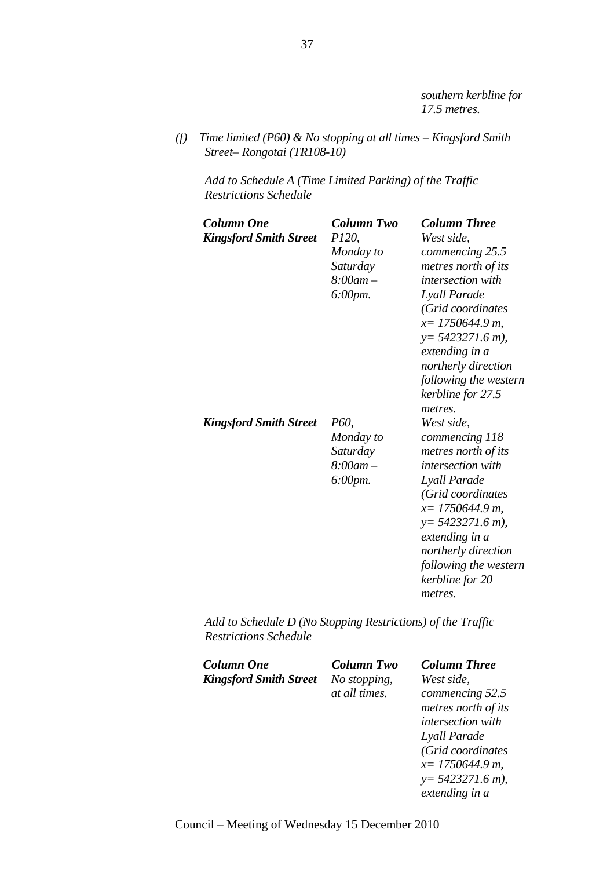*southern kerbline for 17.5 metres.* 

*(f) Time limited (P60) & No stopping at all times – Kingsford Smith Street– Rongotai (TR108-10)* 

*Add to Schedule A (Time Limited Parking) of the Traffic Restrictions Schedule* 

| Column One<br><b>Kingsford Smith Street</b> | Column Two<br><i>P120,</i><br>Monday to<br>Saturday<br>$8:00am -$<br>6:00pm. | <b>Column Three</b><br>West side,<br>commencing 25.5<br>metres north of its<br><i>intersection with</i><br>Lyall Parade<br>(Grid coordinates<br>$x=1750644.9 m$ ,<br>$y=5423271.6$ m),<br>extending in a<br>northerly direction<br>following the western<br>kerbline for 27.5<br>metres. |
|---------------------------------------------|------------------------------------------------------------------------------|------------------------------------------------------------------------------------------------------------------------------------------------------------------------------------------------------------------------------------------------------------------------------------------|
| <b>Kingsford Smith Street</b>               | P60,<br>Monday to<br>Saturday<br>$8:00$ am $-$<br>6:00pm.                    | West side,<br>commencing 118<br>metres north of its<br><i>intersection</i> with<br>Lyall Parade<br>(Grid coordinates<br>$x=$ 1750644.9 m,<br>$y=5423271.6$ m),<br>extending in a<br>northerly direction<br>following the western<br>kerbline for 20<br>metres.                           |

*Add to Schedule D (No Stopping Restrictions) of the Traffic Restrictions Schedule* 

| <b>Column One</b><br><b>Kingsford Smith Street</b> | Column Two<br>No stopping,<br>at all times. | <b>Column Three</b><br>West side.<br>commencing 52.5<br>metres north of its<br>intersection with<br>Lyall Parade<br>(Grid coordinates<br>$x=$ 1750644.9 m,<br>$y=5423271.6$ m),<br>extending in a |
|----------------------------------------------------|---------------------------------------------|---------------------------------------------------------------------------------------------------------------------------------------------------------------------------------------------------|
|----------------------------------------------------|---------------------------------------------|---------------------------------------------------------------------------------------------------------------------------------------------------------------------------------------------------|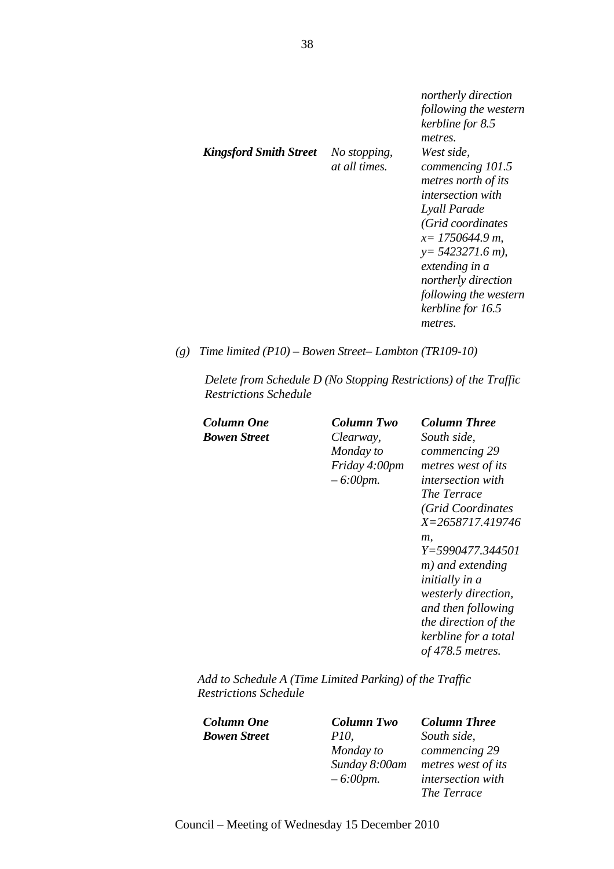| <b>Kingsford Smith Street</b><br>West side.<br>No stopping,<br><i>at all times.</i><br>commencing 101.5<br>metres north of its<br><i>intersection with</i><br>Lyall Parade<br>(Grid coordinates<br>$x=1750644.9 m$ ,<br>$y=5423271.6$ m),<br>extending in a<br>northerly direction<br>kerbline for 16.5<br>metres. |  | northerly direction<br>following the western<br>kerbline for 8.5<br>metres. |
|--------------------------------------------------------------------------------------------------------------------------------------------------------------------------------------------------------------------------------------------------------------------------------------------------------------------|--|-----------------------------------------------------------------------------|
|                                                                                                                                                                                                                                                                                                                    |  | following the western                                                       |

*(g) Time limited (P10) – Bowen Street– Lambton (TR109-10)* 

*Delete from Schedule D (No Stopping Restrictions) of the Traffic Restrictions Schedule* 

*Column One Column Two Column Three Bowen Street Clearway, Monday to Friday 4:00pm – 6:00pm. South side, commencing 29 metres west of its intersection with The Terrace (Grid Coordinates X=2658717.419746 m, Y=5990477.344501 m) and extending initially in a westerly direction, and then following the direction of the kerbline for a total of 478.5 metres.* 

*Add to Schedule A (Time Limited Parking) of the Traffic Restrictions Schedule* 

*Column One Column Two Column Three Bowen Street P10, Monday to Sunday 8:00am – 6:00pm. South side, commencing 29 metres west of its intersection with The Terrace*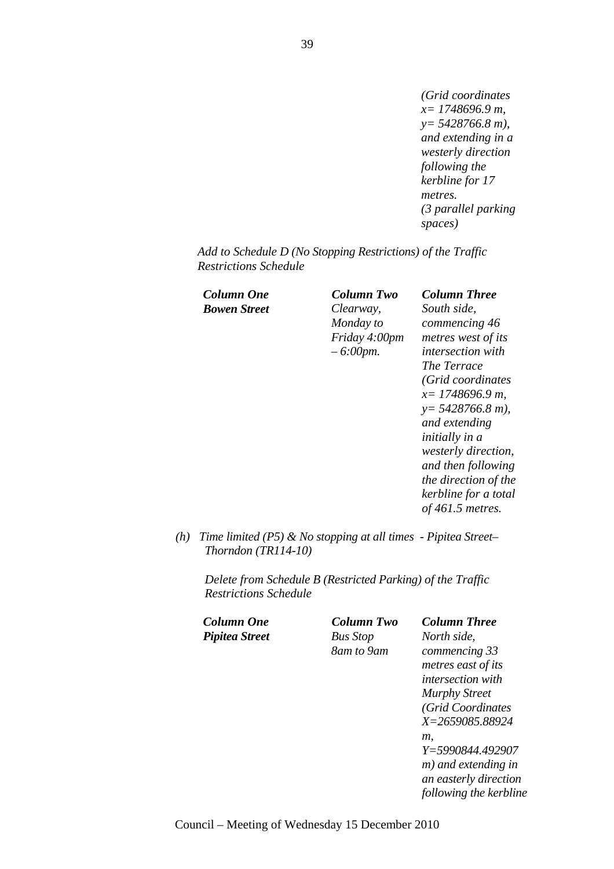*(Grid coordinates x= 1748696.9 m, y= 5428766.8 m), and extending in a westerly direction following the kerbline for 17 metres. (3 parallel parking spaces)* 

*Add to Schedule D (No Stopping Restrictions) of the Traffic Restrictions Schedule* 

*Bowen Street Clearway,* 

*Monday to Friday 4:00pm – 6:00pm.*

*Column One Column Two Column Three South side, commencing 46 metres west of its intersection with The Terrace (Grid coordinates x= 1748696.9 m, y= 5428766.8 m), and extending initially in a westerly direction, and then following the direction of the kerbline for a total of 461.5 metres.* 

*(h) Time limited (P5) & No stopping at all times - Pipitea Street– Thorndon (TR114-10)* 

*Delete from Schedule B (Restricted Parking) of the Traffic Restrictions Schedule* 

*Column One Column Two Column Three Pipitea Street Bus Stop 8am to 9am*

*North side, commencing 33 metres east of its intersection with Murphy Street (Grid Coordinates X=2659085.88924 m, Y=5990844.492907 m) and extending in an easterly direction following the kerbline*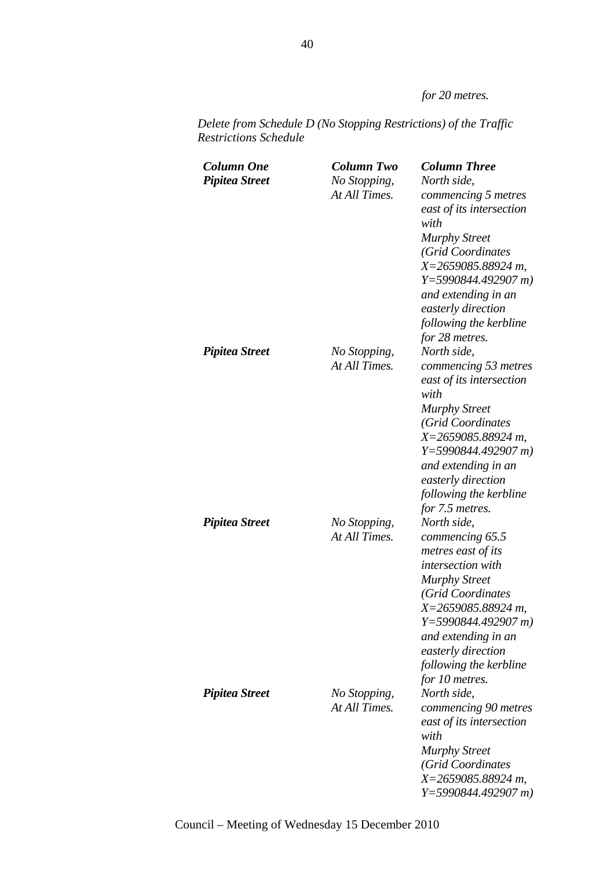*for 20 metres.* 

| <b>Column One</b><br><b>Pipitea Street</b> | <b>Column Two</b><br>No Stopping,<br>At All Times. | <b>Column Three</b><br>North side,<br>commencing 5 metres<br>east of its intersection<br>with<br><b>Murphy Street</b><br>(Grid Coordinates<br>$X = 2659085.88924 m$ ,<br>$Y=5990844.492907 m$<br>and extending in an<br>easterly direction<br>following the kerbline<br>for 28 metres. |
|--------------------------------------------|----------------------------------------------------|----------------------------------------------------------------------------------------------------------------------------------------------------------------------------------------------------------------------------------------------------------------------------------------|
| <b>Pipitea Street</b>                      | No Stopping,<br>At All Times.                      | North side,<br>commencing 53 metres<br>east of its intersection<br>with<br><b>Murphy Street</b><br>(Grid Coordinates<br>$X = 2659085.88924 m$ ,<br>$Y=5990844.492907 m$<br>and extending in an<br>easterly direction<br>following the kerbline<br>for 7.5 metres.                      |
| <b>Pipitea Street</b>                      | No Stopping,<br>At All Times.                      | North side,<br>commencing 65.5<br>metres east of its<br><i>intersection</i> with<br><b>Murphy Street</b><br>(Grid Coordinates<br>$X = 2659085.88924 m$<br>$Y=5990844.492907 m$<br>and extending in an<br>easterly direction<br>following the kerbline<br>for 10 metres.                |
| <b>Pipitea Street</b>                      | No Stopping,<br>At All Times.                      | North side,<br>commencing 90 metres<br>east of its intersection<br>with<br><b>Murphy Street</b><br>(Grid Coordinates<br>X=2659085.88924 m,<br>$Y=5990844.492907 m$                                                                                                                     |

*Delete from Schedule D (No Stopping Restrictions) of the Traffic Restrictions Schedule*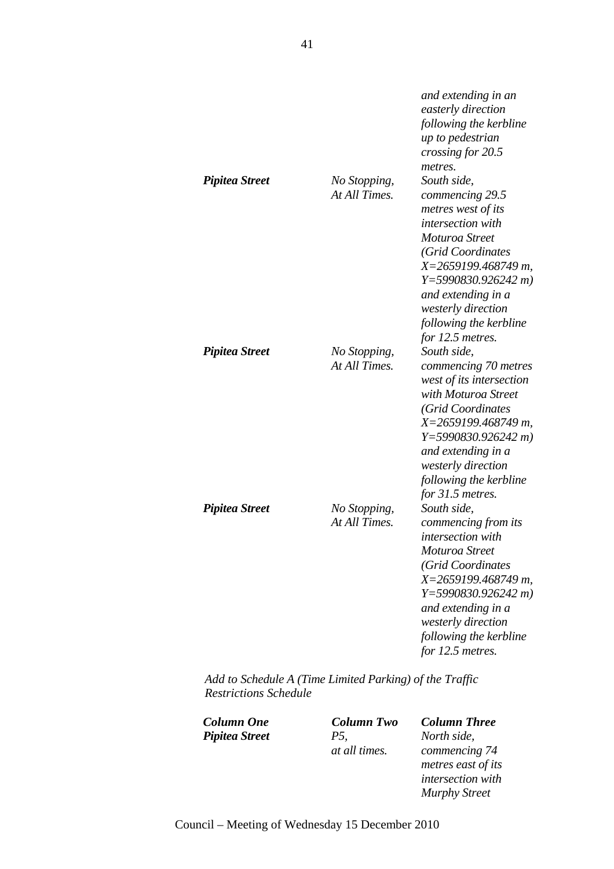| <b>Pipitea Street</b> | No Stopping,<br>At All Times. | and extending in an<br>easterly direction<br>following the kerbline<br>up to pedestrian<br>crossing for 20.5<br>metres.<br>South side,<br>commencing 29.5                                                                                               |
|-----------------------|-------------------------------|---------------------------------------------------------------------------------------------------------------------------------------------------------------------------------------------------------------------------------------------------------|
|                       |                               | metres west of its<br>intersection with<br>Moturoa Street<br>(Grid Coordinates<br>X=2659199.468749 m,<br>$Y=5990830.926242 m$<br>and extending in a<br>westerly direction<br>following the kerbline<br>for 12.5 metres.                                 |
| <b>Pipitea Street</b> | No Stopping,<br>At All Times. | South side.<br>commencing 70 metres<br>west of its intersection<br>with Moturoa Street<br>(Grid Coordinates<br>$X=2659199.468749 m$ ,<br>$Y=5990830.926242 m$<br>and extending in a<br>westerly direction<br>following the kerbline<br>for 31.5 metres. |
| <b>Pipitea Street</b> | No Stopping,<br>At All Times. | South side,<br>commencing from its<br>intersection with<br>Moturoa Street<br>(Grid Coordinates<br>X=2659199.468749 m,<br>$Y=5990830.926242 m$<br>and extending in a<br>westerly direction<br>following the kerbline<br>for 12.5 metres.                 |

*Add to Schedule A (Time Limited Parking) of the Traffic Restrictions Schedule* 

 $Piptea Street$ 

*at all times.*

*Column One Column Two Column Three North side, commencing 74 metres east of its intersection with Murphy Street*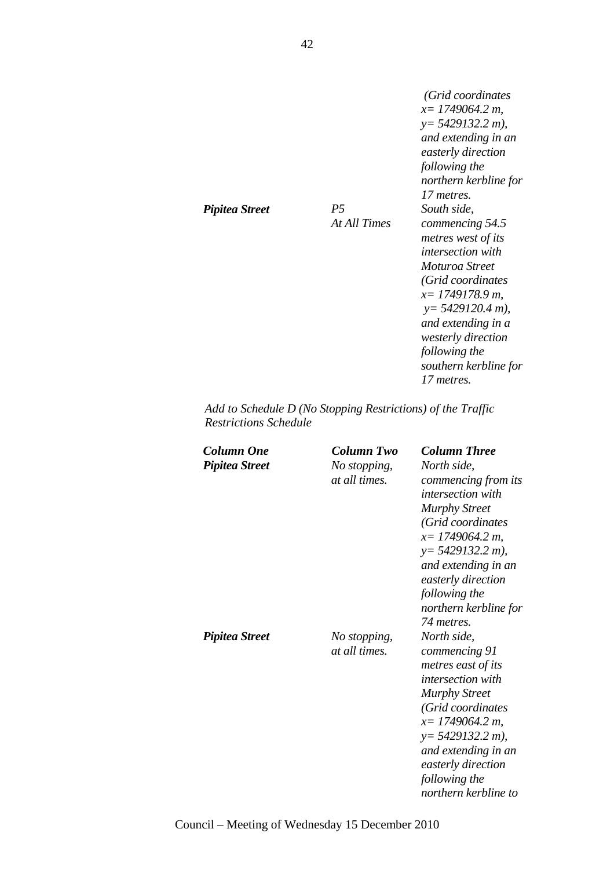*(Grid coordinates x= 1749064.2 m, y= 5429132.2 m), and extending in an easterly direction following the northern kerbline for 17 metres. South side, commencing 54.5 metres west of its intersection with Moturoa Street (Grid coordinates x= 1749178.9 m, y= 5429120.4 m), and extending in a westerly direction following the southern kerbline for 17 metres.* 

*Add to Schedule D (No Stopping Restrictions) of the Traffic Restrictions Schedule* 

*At All Times*

| Column One<br><b>Pipitea Street</b> | Column Two<br>No stopping,<br>at all times. | <b>Column Three</b><br>North side.<br>commencing from its<br><i>intersection with</i><br><b>Murphy Street</b><br>(Grid coordinates<br>$x=1749064.2 m$ ,<br>$y=$ 5429132.2 m),<br>and extending in an<br>easterly direction<br>following the<br>northern kerbline for<br>74 metres. |
|-------------------------------------|---------------------------------------------|------------------------------------------------------------------------------------------------------------------------------------------------------------------------------------------------------------------------------------------------------------------------------------|
| <b>Pipitea Street</b>               | No stopping,<br>at all times.               | North side,<br>commencing 91<br>metres east of its<br><i>intersection with</i><br><b>Murphy Street</b><br>(Grid coordinates<br>$x=1749064.2 m$ ,<br>$y=$ 5429132.2 m),<br>and extending in an<br>easterly direction<br>following the<br>northern kerbline to                       |

Council – Meeting of Wednesday 15 December 2010

*Pipitea Street P5*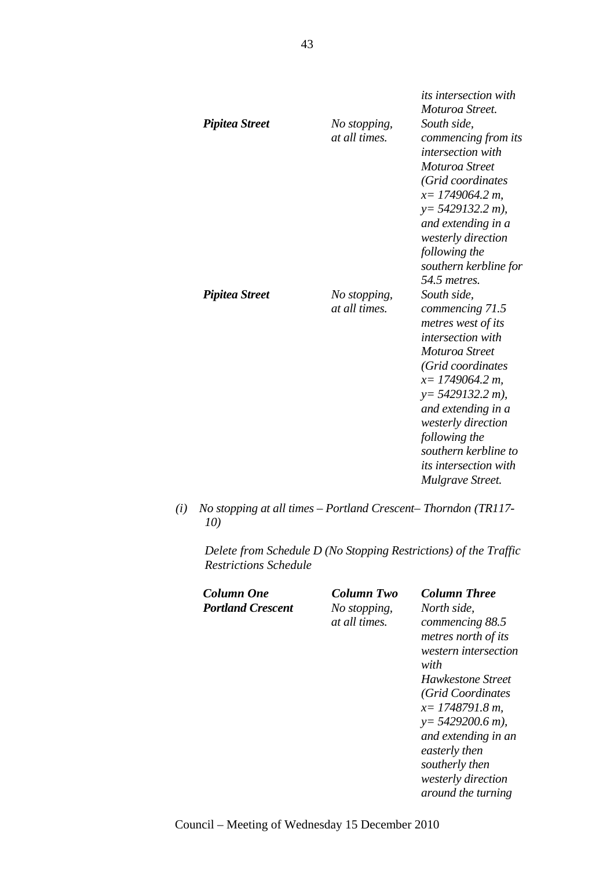| Pipitea Street | No stopping,<br>at all times. | <i>its intersection with</i><br>Moturoa Street.<br>South side,<br>commencing from its<br><i>intersection with</i><br>Moturoa Street<br>(Grid coordinates<br>$x=1749064.2 m$<br>$y = 5429132.2 m$ ),<br>and extending in a<br>westerly direction<br>following the<br>southern kerbline for<br>54.5 metres.   |
|----------------|-------------------------------|-------------------------------------------------------------------------------------------------------------------------------------------------------------------------------------------------------------------------------------------------------------------------------------------------------------|
| Pipitea Street | No stopping,<br>at all times. | South side,<br>commencing 71.5<br>metres west of its<br><i>intersection with</i><br>Moturoa Street<br>(Grid coordinates<br>$x=1749064.2 m$ ,<br>$y=5429132.2 m$ ),<br>and extending in a<br>westerly direction<br>following the<br>southern kerbline to<br><i>its intersection with</i><br>Mulgrave Street. |

*(i) No stopping at all times – Portland Crescent– Thorndon (TR117- 10)* 

*Delete from Schedule D (No Stopping Restrictions) of the Traffic Restrictions Schedule* 

| Column One               | Column Two    | <b>Column Three</b>  |
|--------------------------|---------------|----------------------|
| <b>Portland Crescent</b> | No stopping,  | North side,          |
|                          | at all times. | commencing 88.5      |
|                          |               | metres north of its  |
|                          |               | western intersection |
|                          |               | with                 |
|                          |               | Hawkestone Street    |
|                          |               | (Grid Coordinates    |
|                          |               | $x=1748791.8 m$ ,    |
|                          |               | $y=5429200.6$ m),    |
|                          |               | and extending in an  |
|                          |               | easterly then        |
|                          |               | southerly then       |
|                          |               | westerly direction   |
|                          |               | around the turning   |
|                          |               |                      |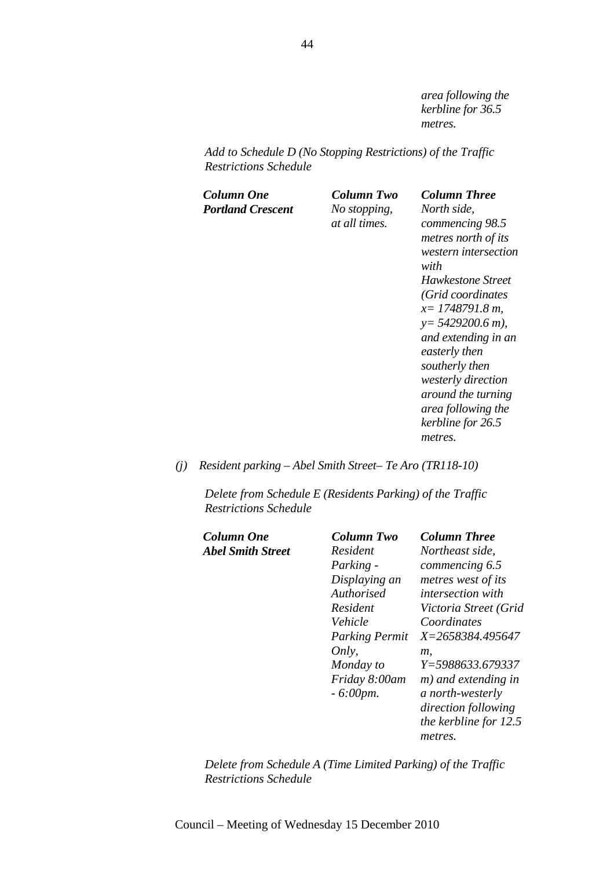*area following the kerbline for 36.5 metres.* 

*Add to Schedule D (No Stopping Restrictions) of the Traffic Restrictions Schedule* 

| Column One               | Column Two    | <b>Column Three</b>       |
|--------------------------|---------------|---------------------------|
| <b>Portland Crescent</b> | No stopping,  | North side.               |
|                          | at all times. | commencing 98.5           |
|                          |               | metres north of its       |
|                          |               | western intersection      |
|                          |               | with                      |
|                          |               | Hawkestone Street         |
|                          |               | (Grid coordinates         |
|                          |               | $x=1748791.8 m$           |
|                          |               | $y=5429200.6$ m),         |
|                          |               | and extending in an       |
|                          |               | easterly then             |
|                          |               | southerly then            |
|                          |               | westerly direction        |
|                          |               | <i>around the turning</i> |
|                          |               | area following the        |
|                          |               | kerbline for 26.5         |
|                          |               | metres.                   |
|                          |               |                           |

#### *(j) Resident parking – Abel Smith Street– Te Aro (TR118-10)*

*Delete from Schedule E (Residents Parking) of the Traffic Restrictions Schedule* 

| Column Two            | <b>Column Three</b>      |
|-----------------------|--------------------------|
| Resident              | Northeast side,          |
| Parking -             | commencing 6.5           |
| Displaying an         | metres west of its       |
| Authorised            | <i>intersection with</i> |
| Resident              | Victoria Street (Grid    |
| Vehicle               | Coordinates              |
| <b>Parking Permit</b> | X=2658384.495647         |
| Only,                 | т.                       |
| Monday to             | Y=5988633.679337         |
| Friday 8:00am         | m) and extending in      |
| $-6:00$ pm.           | a north-westerly         |
|                       | direction following      |
|                       | the kerbline for 12.5    |
|                       | metres.                  |
|                       |                          |

*Delete from Schedule A (Time Limited Parking) of the Traffic Restrictions Schedule*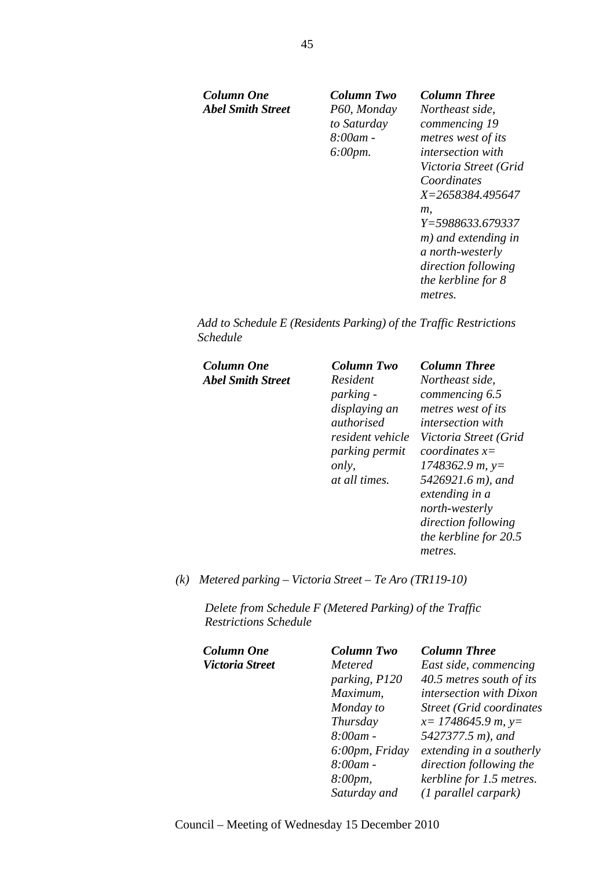*Column One Column Two Column Three Abel Smith Street P60, Monday* 

*to Saturday 8:00am - 6:00pm.* 

*Northeast side, commencing 19 metres west of its intersection with Victoria Street (Grid Coordinates X=2658384.495647 m, Y=5988633.679337 m) and extending in a north-westerly direction following the kerbline for 8 metres.* 

*Add to Schedule E (Residents Parking) of the Traffic Restrictions Schedule* 

| Column One               | Column Two           | <b>Column Three</b>      |
|--------------------------|----------------------|--------------------------|
| <b>Abel Smith Street</b> | Resident             | Northeast side,          |
|                          | <i>parking -</i>     | commencing 6.5           |
|                          | displaying an        | metres west of its       |
|                          | authorised           | <i>intersection with</i> |
|                          | resident vehicle     | Victoria Street (Grid    |
|                          | parking permit       | coordinates $x=$         |
|                          | only,                | $1748362.9 m$ , y=       |
|                          | <i>at all times.</i> | 5426921.6 m), and        |
|                          |                      | extending in a           |
|                          |                      | north-westerly           |
|                          |                      | direction following      |
|                          |                      | the kerbline for 20.5    |
|                          |                      | metres.                  |

#### *(k) Metered parking – Victoria Street – Te Aro (TR119-10)*

*Delete from Schedule F (Metered Parking) of the Traffic Restrictions Schedule* 

| Column One      | <b>Column Two</b> | <b>Column Three</b>              |
|-----------------|-------------------|----------------------------------|
| Victoria Street | Metered           | East side, commencing            |
|                 | parking, P120     | 40.5 metres south of its         |
|                 | Maximum,          | intersection with Dixon          |
|                 | Monday to         | <b>Street (Grid coordinates)</b> |
|                 | Thursday          | $x=$ 1748645.9 m, y=             |
|                 | $8:00$ am -       | 5427377.5 m), and                |
|                 | 6:00pm, Friday    | extending in a southerly         |
|                 | $8:00$ am -       | direction following the          |
|                 | 8:00pm,           | kerbline for 1.5 metres.         |
|                 | Saturday and      | $(1$ parallel carpark)           |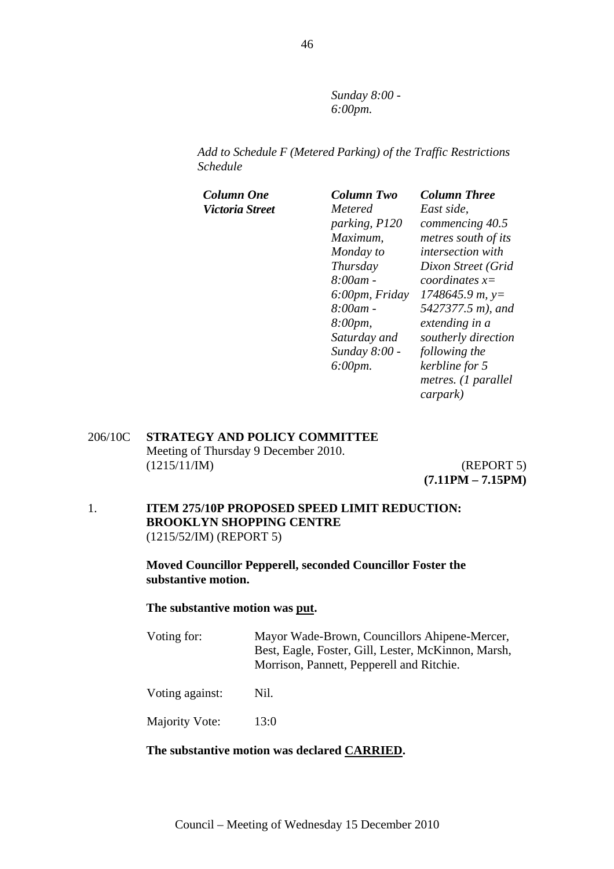*Sunday 8:00 - 6:00pm.* 

*Add to Schedule F (Metered Parking) of the Traffic Restrictions Schedule* 

| Column One      | <b>Column Two</b>    | <b>Column Three</b>      |
|-----------------|----------------------|--------------------------|
| Victoria Street | Metered              | East side.               |
|                 | parking, P120        | commencing 40.5          |
|                 | Maximum,             | metres south of its      |
|                 | Monday to            | <i>intersection with</i> |
|                 | Thursday             | Dixon Street (Grid       |
|                 | $8:00$ am -          | coordinates $x=$         |
|                 | 6:00pm, Friday       | $1748645.9 m$ , y=       |
|                 | 8:00am -             | 5427377.5 m), and        |
|                 | 8:00pm,              | extending in a           |
|                 | Saturday and         | southerly direction      |
|                 | Sunday 8:00 -        | following the            |
|                 | $6:00 \, \text{pm}.$ | kerbline for 5           |
|                 |                      | metres. (1 parallel      |
|                 |                      | carpark)                 |

206/10C **STRATEGY AND POLICY COMMITTEE** Meeting of Thursday 9 December 2010. (1215/11/IM) (REPORT 5)

**(7.11PM – 7.15PM)**

#### 1. **ITEM 275/10P PROPOSED SPEED LIMIT REDUCTION: BROOKLYN SHOPPING CENTRE**  (1215/52/IM) (REPORT 5)

**Moved Councillor Pepperell, seconded Councillor Foster the substantive motion.** 

**The substantive motion was put.** 

| Voting for: | Mayor Wade-Brown, Councillors Ahipene-Mercer,       |
|-------------|-----------------------------------------------------|
|             | Best, Eagle, Foster, Gill, Lester, McKinnon, Marsh, |
|             | Morrison, Pannett, Pepperell and Ritchie.           |
|             |                                                     |

Voting against: Nil.

Majority Vote: 13:0

#### **The substantive motion was declared CARRIED.**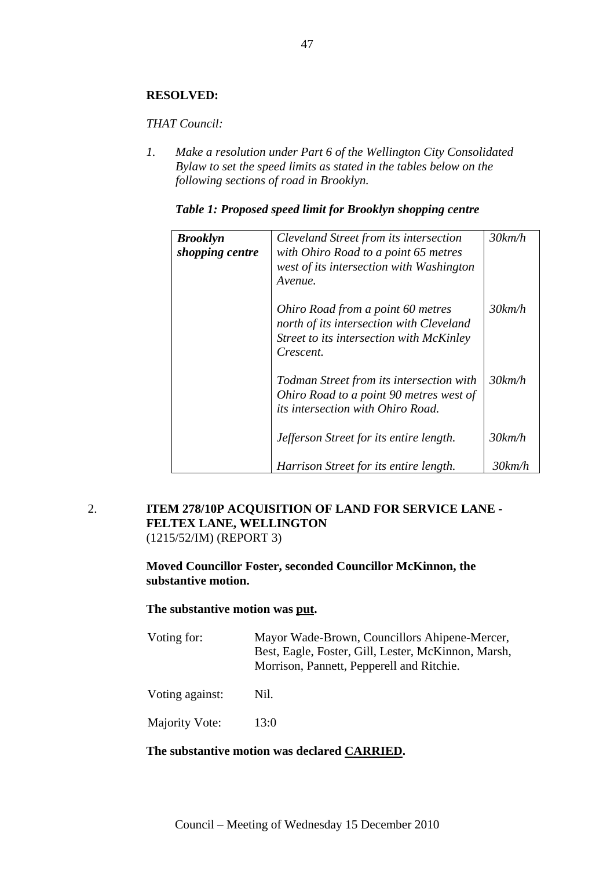#### **RESOLVED:**

#### *THAT Council:*

*1. Make a resolution under Part 6 of the Wellington City Consolidated Bylaw to set the speed limits as stated in the tables below on the following sections of road in Brooklyn.* 

#### *Table 1: Proposed speed limit for Brooklyn shopping centre*

| <b>Brooklyn</b><br>shopping centre | Cleveland Street from its intersection<br>with Ohiro Road to a point 65 metres<br>west of its intersection with Washington<br>Avenue.  | $30$ km/h |
|------------------------------------|----------------------------------------------------------------------------------------------------------------------------------------|-----------|
|                                    | Ohiro Road from a point 60 metres<br>north of its intersection with Cleveland<br>Street to its intersection with McKinley<br>Crescent. | $30$ km/h |
|                                    | Todman Street from its intersection with<br>Ohiro Road to a point 90 metres west of<br><i>its intersection with Ohiro Road.</i>        | $30$ km/h |
|                                    | Jefferson Street for its entire length.                                                                                                | 30km/h    |
|                                    | Harrison Street for its entire length.                                                                                                 | 30km/h    |

#### 2. **ITEM 278/10P ACQUISITION OF LAND FOR SERVICE LANE - FELTEX LANE, WELLINGTON**  (1215/52/IM) (REPORT 3)

#### **Moved Councillor Foster, seconded Councillor McKinnon, the substantive motion.**

#### **The substantive motion was put.**

- Voting for: Mayor Wade-Brown, Councillors Ahipene-Mercer, Best, Eagle, Foster, Gill, Lester, McKinnon, Marsh, Morrison, Pannett, Pepperell and Ritchie. Voting against: Nil.
- Majority Vote: 13:0

#### **The substantive motion was declared CARRIED.**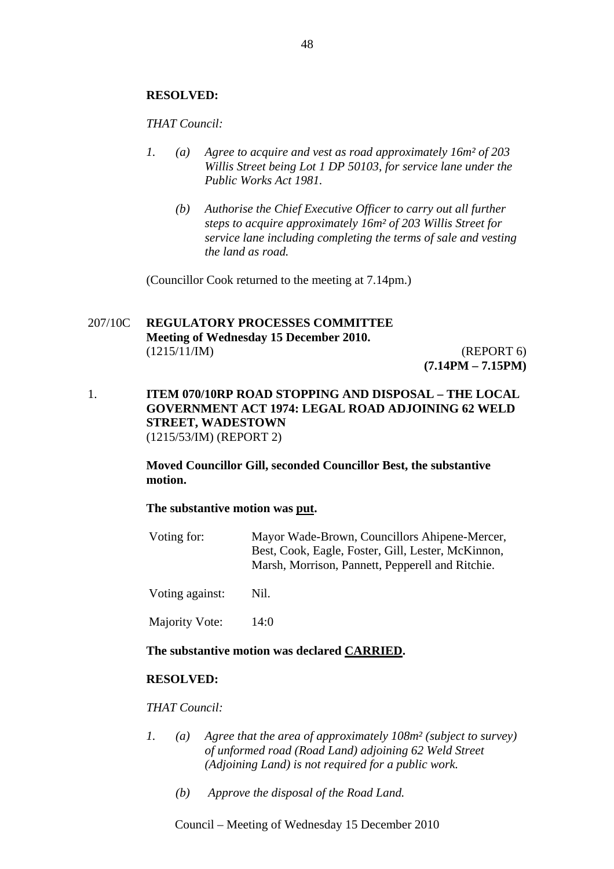#### **RESOLVED:**

*THAT Council:* 

- *1. (a) Agree to acquire and vest as road approximately 16m² of 203 Willis Street being Lot 1 DP 50103, for service lane under the Public Works Act 1981.* 
	- *(b) Authorise the Chief Executive Officer to carry out all further steps to acquire approximately 16m² of 203 Willis Street for service lane including completing the terms of sale and vesting the land as road.*

(Councillor Cook returned to the meeting at 7.14pm.)

#### 207/10C **REGULATORY PROCESSES COMMITTEE Meeting of Wednesday 15 December 2010.**  (1215/11/IM) (REPORT 6) **(7.14PM – 7.15PM)**

1. **ITEM 070/10RP ROAD STOPPING AND DISPOSAL – THE LOCAL GOVERNMENT ACT 1974: LEGAL ROAD ADJOINING 62 WELD STREET, WADESTOWN** (1215/53/IM) (REPORT 2)

> **Moved Councillor Gill, seconded Councillor Best, the substantive motion.**

#### **The substantive motion was put.**

Voting for: Mayor Wade-Brown, Councillors Ahipene-Mercer, Best, Cook, Eagle, Foster, Gill, Lester, McKinnon, Marsh, Morrison, Pannett, Pepperell and Ritchie.

Voting against: Nil.

Majority Vote: 14:0

#### **The substantive motion was declared CARRIED.**

#### **RESOLVED:**

*THAT Council:*

- *1. (a) Agree that the area of approximately 108m² (subject to survey) of unformed road (Road Land) adjoining 62 Weld Street (Adjoining Land) is not required for a public work.* 
	- *(b) Approve the disposal of the Road Land.*

Council – Meeting of Wednesday 15 December 2010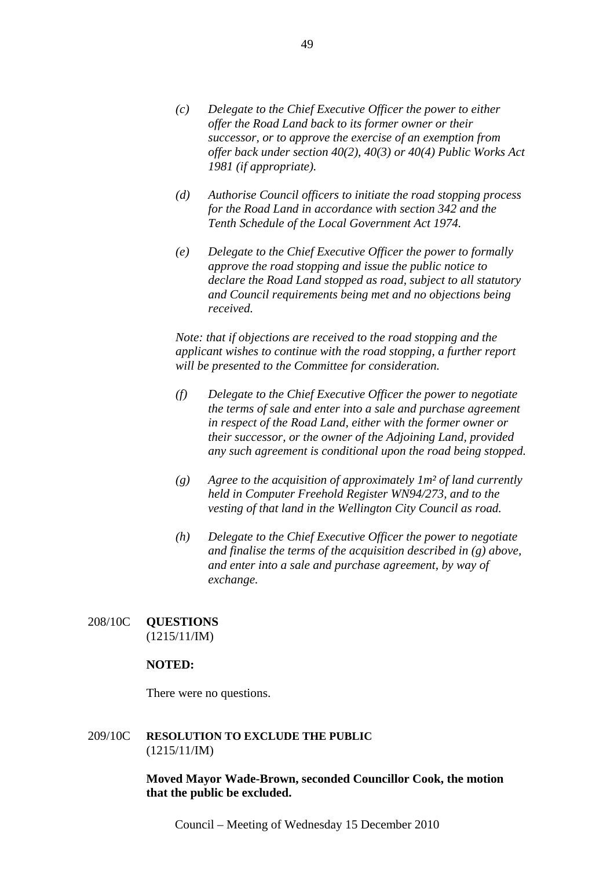- *(c) Delegate to the Chief Executive Officer the power to either offer the Road Land back to its former owner or their successor, or to approve the exercise of an exemption from offer back under section 40(2), 40(3) or 40(4) Public Works Act 1981 (if appropriate).*
- *(d) Authorise Council officers to initiate the road stopping process for the Road Land in accordance with section 342 and the Tenth Schedule of the Local Government Act 1974.*
- *(e) Delegate to the Chief Executive Officer the power to formally approve the road stopping and issue the public notice to declare the Road Land stopped as road, subject to all statutory and Council requirements being met and no objections being received.*

*Note: that if objections are received to the road stopping and the applicant wishes to continue with the road stopping, a further report will be presented to the Committee for consideration.*

- *(f) Delegate to the Chief Executive Officer the power to negotiate the terms of sale and enter into a sale and purchase agreement in respect of the Road Land, either with the former owner or their successor, or the owner of the Adjoining Land, provided any such agreement is conditional upon the road being stopped.*
- *(g) Agree to the acquisition of approximately 1m² of land currently held in Computer Freehold Register WN94/273, and to the vesting of that land in the Wellington City Council as road.*
- *(h) Delegate to the Chief Executive Officer the power to negotiate and finalise the terms of the acquisition described in (g) above, and enter into a sale and purchase agreement, by way of exchange.*

### 208/10C **QUESTIONS** (1215/11/IM)

#### **NOTED:**

There were no questions.

#### 209/10C **RESOLUTION TO EXCLUDE THE PUBLIC** (1215/11/IM)

**Moved Mayor Wade-Brown, seconded Councillor Cook, the motion that the public be excluded.** 

Council – Meeting of Wednesday 15 December 2010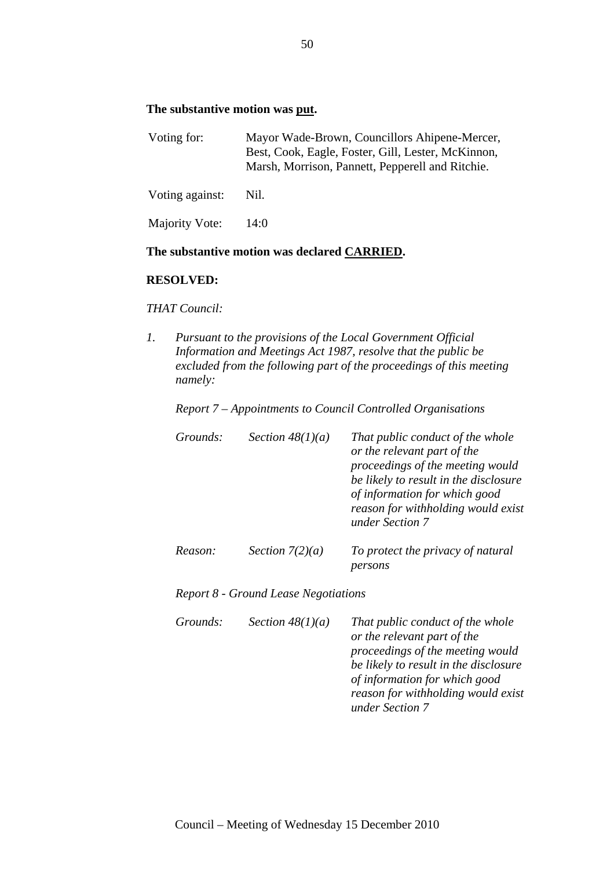#### **The substantive motion was put.**

| Voting for:     | Mayor Wade-Brown, Councillors Ahipene-Mercer,<br>Best, Cook, Eagle, Foster, Gill, Lester, McKinnon,<br>Marsh, Morrison, Pannett, Pepperell and Ritchie. |
|-----------------|---------------------------------------------------------------------------------------------------------------------------------------------------------|
| Voting against: | Nil.                                                                                                                                                    |
| Majority Vote:  | 14:0                                                                                                                                                    |

#### **The substantive motion was declared CARRIED.**

#### **RESOLVED:**

*THAT Council:* 

*1. Pursuant to the provisions of the Local Government Official Information and Meetings Act 1987, resolve that the public be excluded from the following part of the proceedings of this meeting namely:* 

*Report 7 – Appointments to Council Controlled Organisations* 

| Grounds: | Section $48(1)(a)$                          | That public conduct of the whole<br>or the relevant part of the<br>proceedings of the meeting would<br>be likely to result in the disclosure<br>of information for which good<br>reason for withholding would exist<br>under Section 7 |
|----------|---------------------------------------------|----------------------------------------------------------------------------------------------------------------------------------------------------------------------------------------------------------------------------------------|
| Reason:  | Section $7(2)(a)$                           | To protect the privacy of natural<br>persons                                                                                                                                                                                           |
|          | <b>Report 8 - Ground Lease Negotiations</b> |                                                                                                                                                                                                                                        |
| Grounds: | Section $48(1)(a)$                          | That public conduct of the whole<br>or the relevant part of the<br>proceedings of the meeting would                                                                                                                                    |

*be likely to result in the disclosure of information for which good reason for withholding would exist* 

*under Section 7*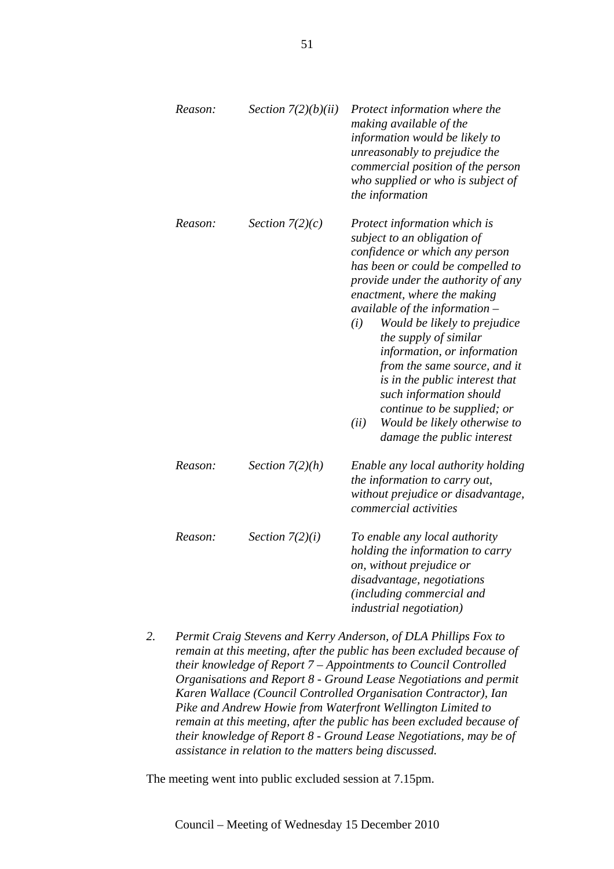| Reason: | Section $7(2)(b)(ii)$ | Protect information where the<br>making available of the<br>information would be likely to<br>unreasonably to prejudice the<br>commercial position of the person<br>who supplied or who is subject of<br>the information                                                                                                                                                                                                                                                                                                                     |
|---------|-----------------------|----------------------------------------------------------------------------------------------------------------------------------------------------------------------------------------------------------------------------------------------------------------------------------------------------------------------------------------------------------------------------------------------------------------------------------------------------------------------------------------------------------------------------------------------|
| Reason: | Section $7(2)(c)$     | Protect information which is<br>subject to an obligation of<br>confidence or which any person<br>has been or could be compelled to<br>provide under the authority of any<br>enactment, where the making<br>available of the information $-$<br>Would be likely to prejudice<br>(i)<br>the supply of similar<br>information, or information<br>from the same source, and it<br>is in the public interest that<br>such information should<br>continue to be supplied; or<br>Would be likely otherwise to<br>(ii)<br>damage the public interest |
| Reason: | Section $7(2)(h)$     | Enable any local authority holding<br>the information to carry out,<br>without prejudice or disadvantage,<br>commercial activities                                                                                                                                                                                                                                                                                                                                                                                                           |
| Reason: | Section $7(2)(i)$     | To enable any local authority<br>holding the information to carry<br>on, without prejudice or<br>disadvantage, negotiations<br>(including commercial and<br><i>industrial negotiation</i> )                                                                                                                                                                                                                                                                                                                                                  |

*2. Permit Craig Stevens and Kerry Anderson, of DLA Phillips Fox to remain at this meeting, after the public has been excluded because of their knowledge of Report 7 – Appointments to Council Controlled Organisations and Report 8 - Ground Lease Negotiations and permit Karen Wallace (Council Controlled Organisation Contractor), Ian Pike and Andrew Howie from Waterfront Wellington Limited to remain at this meeting, after the public has been excluded because of their knowledge of Report 8 - Ground Lease Negotiations, may be of assistance in relation to the matters being discussed.* 

The meeting went into public excluded session at 7.15pm.